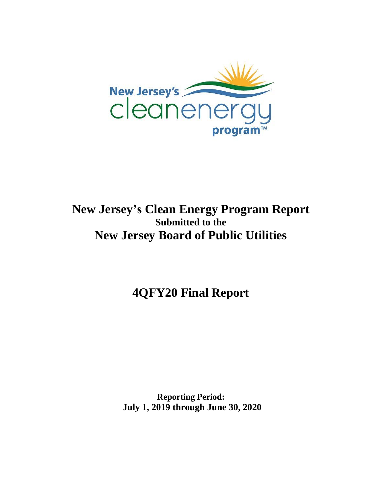

## **New Jersey's Clean Energy Program Report Submitted to the New Jersey Board of Public Utilities**

**4QFY20 Final Report**

**Reporting Period: July 1, 2019 through June 30, 2020**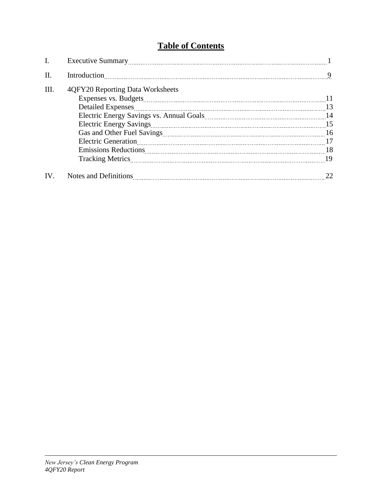## **Table of Contents**

| I.   |                                  |     |
|------|----------------------------------|-----|
| II.  | Introduction                     | 9   |
| III. | 4QFY20 Reporting Data Worksheets | -11 |
|      | <b>Detailed Expenses</b>         |     |
|      |                                  |     |
|      |                                  |     |
|      |                                  |     |
|      |                                  |     |
|      |                                  | -18 |
|      |                                  |     |
| IV.  |                                  |     |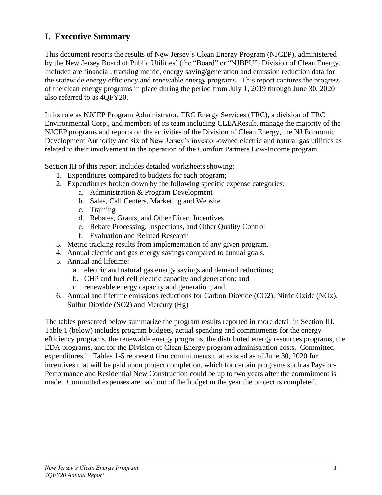### **I. Executive Summary**

This document reports the results of New Jersey's Clean Energy Program (NJCEP), administered by the New Jersey Board of Public Utilities' (the "Board" or "NJBPU") Division of Clean Energy. Included are financial, tracking metric, energy saving/generation and emission reduction data for the statewide energy efficiency and renewable energy programs. This report captures the progress of the clean energy programs in place during the period from July 1, 2019 through June 30, 2020 also referred to as 4QFY20.

In its role as NJCEP Program Administrator, TRC Energy Services (TRC), a division of TRC Environmental Corp., and members of its team including CLEAResult, manage the majority of the NJCEP programs and reports on the activities of the Division of Clean Energy, the NJ Economic Development Authority and six of New Jersey's investor-owned electric and natural gas utilities as related to their involvement in the operation of the Comfort Partners Low-Income program.

Section III of this report includes detailed worksheets showing:

- 1. Expenditures compared to budgets for each program;
- 2. Expenditures broken down by the following specific expense categories:
	- a. Administration & Program Development
	- b. Sales, Call Centers, Marketing and Website
	- c. Training
	- d. Rebates, Grants, and Other Direct Incentives
	- e. Rebate Processing, Inspections, and Other Quality Control
	- f. Evaluation and Related Research
- 3. Metric tracking results from implementation of any given program.
- 4. Annual electric and gas energy savings compared to annual goals.
- 5. Annual and lifetime:
	- a. electric and natural gas energy savings and demand reductions;
	- b. CHP and fuel cell electric capacity and generation; and
	- c. renewable energy capacity and generation; and
- 6. Annual and lifetime emissions reductions for Carbon Dioxide (CO2), Nitric Oxide (NOx), Sulfur Dioxide (SO2) and Mercury (Hg)

The tables presented below summarize the program results reported in more detail in Section III. Table 1 (below) includes program budgets, actual spending and commitments for the energy efficiency programs, the renewable energy programs, the distributed energy resources programs, the EDA programs, and for the Division of Clean Energy program administration costs. Committed expenditures in Tables 1-5 represent firm commitments that existed as of June 30, 2020 for incentives that will be paid upon project completion, which for certain programs such as Pay-for-Performance and Residential New Construction could be up to two years after the commitment is made. Committed expenses are paid out of the budget in the year the project is completed.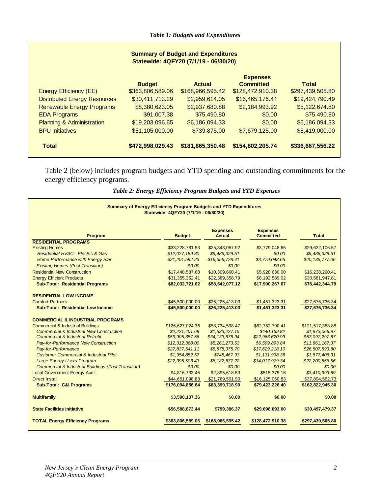| <b>Summary of Budget and Expenditures</b><br>Statewide: 4QFY20 (7/1/19 - 06/30/20) |                  |                  |                  |                  |  |  |  |  |
|------------------------------------------------------------------------------------|------------------|------------------|------------------|------------------|--|--|--|--|
| <b>Expenses</b>                                                                    |                  |                  |                  |                  |  |  |  |  |
|                                                                                    | <b>Budget</b>    | <b>Actual</b>    | <b>Committed</b> | <b>Total</b>     |  |  |  |  |
| Energy Efficiency (EE)                                                             | \$363,806,589.06 | \$168,966,595.42 | \$128,472,910.38 | \$297,439,505.80 |  |  |  |  |
| <b>Distributed Energy Resources</b>                                                | \$30,411,713.29  | \$2,959,614.05   | \$16,465,176.44  | \$19,424,790.49  |  |  |  |  |
| <b>Renewable Energy Programs</b>                                                   | \$8,380,623.05   | \$2,937,680.88   | \$2,184,993.92   | \$5,122,674.80   |  |  |  |  |
| <b>EDA Programs</b>                                                                | \$91,007.38      | \$75,490.80      | \$0.00           | \$75,490.80      |  |  |  |  |
| <b>Planning &amp; Administration</b>                                               | \$19,203,096.65  | \$6,186,094.33   | \$0.00           | \$6,186,094.33   |  |  |  |  |
| <b>BPU Initiatives</b>                                                             | \$51,105,000.00  | \$739,875.00     | \$7,679,125.00   | \$8,419,000.00   |  |  |  |  |
| <b>Total</b>                                                                       | \$472,998,029.43 | \$181,865,350.48 | \$154,802,205.74 | \$336,667,556.22 |  |  |  |  |

Table 2 (below) includes program budgets and YTD spending and outstanding commitments for the energy efficiency programs.

| Summary of Energy Efficiency Program Budgets and YTD Expenditures<br>Statewide: 4QFY20 (7/1/19 - 06/30/20) |                  |                                  |                                     |                  |  |  |  |  |
|------------------------------------------------------------------------------------------------------------|------------------|----------------------------------|-------------------------------------|------------------|--|--|--|--|
| Program                                                                                                    | <b>Budget</b>    | <b>Expenses</b><br><b>Actual</b> | <b>Expenses</b><br><b>Committed</b> | <b>Total</b>     |  |  |  |  |
| <b>RESIDENTIAL PROGRAMS</b>                                                                                |                  |                                  |                                     |                  |  |  |  |  |
| <b>Existing Homes</b>                                                                                      | \$33,228,781.53  | \$25,843,057.92                  | \$3,779,048.65                      | \$29,622,106.57  |  |  |  |  |
| Residential HVAC - Electric & Gas                                                                          | \$12,027,189.30  | \$9,486,329.51                   | \$0.00                              | \$9,486,329.51   |  |  |  |  |
| Home Performance with Energy Star                                                                          | \$21,201,592.23  | \$16,356,728.41                  | \$3,779,048.65                      | \$20,135,777.06  |  |  |  |  |
| <b>Existing Homes (Post Transition)</b>                                                                    | \$0.00           | \$0.00                           | \$0.00                              |                  |  |  |  |  |
| <b>Residential New Construction</b>                                                                        | \$17,448,587.68  | \$10,309,660.41                  | \$5,928,630.00                      | \$16,238,290.41  |  |  |  |  |
| <b>Energy Efficient Products</b>                                                                           | \$31,355,352.41  | \$22,389,358.79                  | \$8,192,589.02                      | \$30,581,947.81  |  |  |  |  |
| <b>Sub-Total: Residential Programs</b>                                                                     | \$82,032,721.62  | \$58,542,077.12                  | \$17,900,267.67                     | \$76,442,344.79  |  |  |  |  |
| <b>RESIDENTIAL LOW INCOME</b>                                                                              |                  |                                  |                                     |                  |  |  |  |  |
| <b>Comfort Partners</b>                                                                                    | \$45,500,000.00  | \$26,225,413.03                  | \$1,451,323.31                      | \$27,676,736.34  |  |  |  |  |
| <b>Sub-Total: Residential Low Income</b>                                                                   | \$45,500,000.00  | \$26,225,413.03                  | \$1,451,323.31                      | \$27,676,736.34  |  |  |  |  |
| <b>COMMERCIAL &amp; INDUSTRIAL PROGRAMS</b>                                                                |                  |                                  |                                     |                  |  |  |  |  |
| <b>Commercial &amp; Industrial Buildings</b>                                                               | \$126,627,024.36 | \$58.734.598.47                  | \$62,782,790.41                     | \$121,517,388.88 |  |  |  |  |
| <b>Commercial &amp; Industrial New Construction</b>                                                        | \$2,221,401.69   | \$1,533,227.15                   | \$440,139.82                        | \$1,973,366.97   |  |  |  |  |
| <b>Commercial &amp; Industrial Retrofit</b>                                                                | \$59,905,357.56  | \$34,133,676.94                  | \$22,963,620.93                     | \$57,097,297.87  |  |  |  |  |
| Pay-for-Performance New Construction                                                                       | \$12,312,368.00  | \$5,261,273.53                   | \$6,599,893.84                      | \$11,861,167.37  |  |  |  |  |
| Pay-for-Performance                                                                                        | \$27,837,541.11  | \$8,878,375.70                   | \$17,629,218.10                     | \$26,507,593.80  |  |  |  |  |
| <b>Customer Commercial &amp; Industrial Pilot</b>                                                          | \$1,954,852.57   | \$745,467.93                     | \$1,131,938.38                      | \$1,877,406.31   |  |  |  |  |
| <b>Large Energy Users Program</b>                                                                          | \$22,395,503.43  | \$8,182,577.22                   | \$14,017,979.34                     | \$22,200,556.56  |  |  |  |  |
| <b>Commercial &amp; Industrial Buildings (Post Transition)</b>                                             | \$0.00           | \$0.00                           | \$0.00                              | \$0.00           |  |  |  |  |
| <b>Local Government Energy Audit</b>                                                                       | \$4,816,733.45   | \$2,895,618.53                   | \$515,375.16                        | \$3,410,993.69   |  |  |  |  |
| <b>Direct Install</b>                                                                                      | \$44,651,098.83  | \$21,769,501.90                  | \$16,125,060.83                     | \$37,894,562.73  |  |  |  |  |
| <b>Sub-Total: C&amp;I Programs</b>                                                                         | \$176,094,856.64 | \$83,399,718.90                  | \$79,423,226.40                     | \$162,822,945.30 |  |  |  |  |
| <b>Multifamily</b>                                                                                         | \$3,590,137.36   | \$0.00                           | \$0.00                              | \$0.00           |  |  |  |  |
| <b>State Facilities Initiative</b>                                                                         | \$56,588,873.44  | \$799,386.37                     | \$29,698,093.00                     | \$30,497,479.37  |  |  |  |  |
| <b>TOTAL Energy Efficiency Programs</b>                                                                    | \$363,806,589.06 | \$168,966,595.42                 | \$128,472,910.38                    | \$297,439,505.80 |  |  |  |  |

*Table 2: Energy Efficiency Program Budgets and YTD Expenses*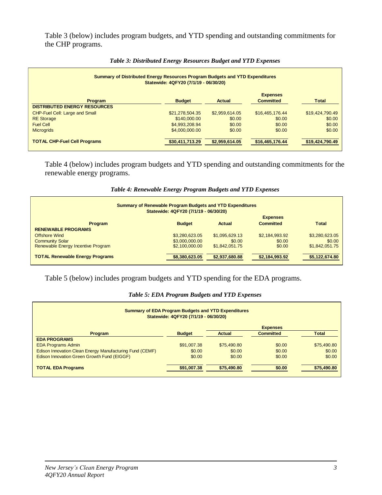Table 3 (below) includes program budgets, and YTD spending and outstanding commitments for the CHP programs.

| Summary of Distributed Energy Resources Program Budgets and YTD Expenditures<br>Statewide: 4QFY20 (7/1/19 - 06/30/20) |                 |                |                  |                 |  |  |  |
|-----------------------------------------------------------------------------------------------------------------------|-----------------|----------------|------------------|-----------------|--|--|--|
| <b>Expenses</b>                                                                                                       |                 |                |                  |                 |  |  |  |
| Program                                                                                                               | <b>Budget</b>   | <b>Actual</b>  | <b>Committed</b> | <b>Total</b>    |  |  |  |
| <b>DISTRIBUTED ENERGY RESOURCES</b>                                                                                   |                 |                |                  |                 |  |  |  |
| CHP-Fuel Cell: Large and Small                                                                                        | \$21,278,504.35 | \$2,959,614.05 | \$16,465,176.44  | \$19,424,790.49 |  |  |  |
| <b>RE</b> Storage                                                                                                     | \$140,000,00    | \$0.00         | \$0.00           | \$0.00          |  |  |  |
| <b>Fuel Cell</b>                                                                                                      | \$4,993,208.94  | \$0.00         | \$0.00           | \$0.00          |  |  |  |
| <b>Microgrids</b>                                                                                                     | \$4,000,000,00  | \$0.00         | \$0.00           | \$0.00          |  |  |  |
| <b>TOTAL CHP-Fuel Cell Programs</b>                                                                                   | \$30,411,713.29 | \$2,959,614.05 | \$16,465,176.44  | \$19,424,790.49 |  |  |  |

#### *Table 3: Distributed Energy Resources Budget and YTD Expenses*

Table 4 (below) includes program budgets and YTD spending and outstanding commitments for the renewable energy programs.

| Table 4: Renewable Energy Program Budgets and YTD Expenses |  |  |
|------------------------------------------------------------|--|--|
|------------------------------------------------------------|--|--|

| <b>Summary of Renewable Program Budgets and YTD Expenditures</b><br>Statewide: 4QFY20 (7/1/19 - 06/30/20) |                |                |                  |                |  |  |  |  |
|-----------------------------------------------------------------------------------------------------------|----------------|----------------|------------------|----------------|--|--|--|--|
| <b>Expenses</b>                                                                                           |                |                |                  |                |  |  |  |  |
| <b>Program</b>                                                                                            | <b>Budget</b>  | Actual         | <b>Committed</b> | <b>Total</b>   |  |  |  |  |
| <b>RENEWABLE PROGRAMS</b>                                                                                 |                |                |                  |                |  |  |  |  |
| <b>Offshore Wind</b>                                                                                      | \$3,280,623.05 | \$1,095,629.13 | \$2,184,993.92   | \$3,280,623.05 |  |  |  |  |
| <b>Community Solar</b>                                                                                    | \$3,000,000.00 | \$0.00         | \$0.00           | \$0.00         |  |  |  |  |
| Renewable Energy Incentive Program                                                                        | \$2,100,000.00 | \$1,842,051.75 | \$0.00           | \$1.842.051.75 |  |  |  |  |
| <b>TOTAL Renewable Energy Programs</b>                                                                    | \$8,380,623.05 | \$2,937,680.88 | \$2,184,993.92   | \$5,122,674.80 |  |  |  |  |

Table 5 (below) includes program budgets and YTD spending for the EDA programs.

#### *Table 5: EDA Program Budgets and YTD Expenses*

| <b>Summary of EDA Program Budgets and YTD Expenditures</b><br>Statewide: 4QFY20 (7/1/19 - 06/30/20) |               |               |                  |              |  |  |  |  |
|-----------------------------------------------------------------------------------------------------|---------------|---------------|------------------|--------------|--|--|--|--|
| <b>Expenses</b>                                                                                     |               |               |                  |              |  |  |  |  |
| Program                                                                                             | <b>Budget</b> | <b>Actual</b> | <b>Committed</b> | <b>Total</b> |  |  |  |  |
| <b>EDA PROGRAMS</b>                                                                                 |               |               |                  |              |  |  |  |  |
| <b>EDA Programs Admin</b>                                                                           | \$91,007.38   | \$75,490.80   | \$0.00           | \$75,490.80  |  |  |  |  |
| Edison Innovation Clean Energy Manufacturing Fund (CEMF)                                            | \$0.00        | \$0.00        | \$0.00           | \$0.00       |  |  |  |  |
| Edison Innovation Green Growth Fund (EIGGF)                                                         | \$0.00        | \$0.00        | \$0.00           | \$0.00       |  |  |  |  |
| <b>TOTAL EDA Programs</b>                                                                           | \$91,007.38   | \$75,490.80   | \$0.00           | \$75,490.80  |  |  |  |  |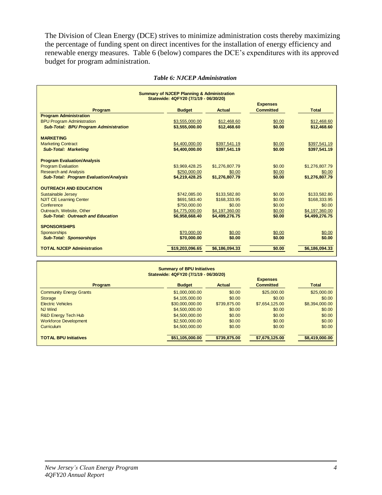The Division of Clean Energy (DCE) strives to minimize administration costs thereby maximizing the percentage of funding spent on direct incentives for the installation of energy efficiency and renewable energy measures. Table 6 (below) compares the DCE's expenditures with its approved budget for program administration.

| <b>Summary of NJCEP Planning &amp; Administration</b><br>Statewide: 4QFY20 (7/1/19 - 06/30/20) |                 |                |                  |                |  |  |  |
|------------------------------------------------------------------------------------------------|-----------------|----------------|------------------|----------------|--|--|--|
|                                                                                                |                 |                | <b>Expenses</b>  |                |  |  |  |
| Program                                                                                        | <b>Budget</b>   | <b>Actual</b>  | <b>Committed</b> | <b>Total</b>   |  |  |  |
| <b>Program Administration</b>                                                                  |                 |                |                  |                |  |  |  |
| <b>BPU Program Administration</b>                                                              | \$3,555,000.00  | \$12,468.60    | \$0.00           | \$12,468.60    |  |  |  |
| <b>Sub-Total: BPU Program Administration</b>                                                   | \$3,555,000.00  | \$12,468.60    | \$0.00           | \$12,468.60    |  |  |  |
| <b>MARKETING</b>                                                                               |                 |                |                  |                |  |  |  |
| <b>Marketing Contract</b>                                                                      | \$4,400,000.00  | \$397.541.19   | \$0.00           | \$397.541.19   |  |  |  |
| <b>Sub-Total: Marketing</b>                                                                    | \$4,400,000.00  | \$397,541.19   | \$0.00           | \$397,541.19   |  |  |  |
| <b>Program Evaluation/Analysis</b>                                                             |                 |                |                  |                |  |  |  |
| <b>Program Evaluation</b>                                                                      | \$3,969,428.25  | \$1,276,807.79 | \$0.00           | \$1,276,807.79 |  |  |  |
| <b>Research and Analysis</b>                                                                   | \$250,000.00    | \$0.00         | \$0.00           | \$0.00         |  |  |  |
| <b>Sub-Total: Program Evaluation/Analysis</b>                                                  | \$4,219,428.25  | \$1,276,807.79 | \$0.00           | \$1,276,807.79 |  |  |  |
| <b>OUTREACH AND EDUCATION</b>                                                                  |                 |                |                  |                |  |  |  |
| Sustainable Jersey                                                                             | \$742,085,00    | \$133,582.80   | \$0.00           | \$133,582.80   |  |  |  |
| <b>NJIT CE Learning Center</b>                                                                 | \$691,583.40    | \$168,333,95   | \$0.00           | \$168,333,95   |  |  |  |
| Conference                                                                                     | \$750,000.00    | \$0.00         | \$0.00           | \$0.00         |  |  |  |
| Outreach, Website, Other                                                                       | \$4,775,000.00  | \$4,197,360.00 | \$0.00           | \$4.197.360.00 |  |  |  |
| <b>Sub-Total: Outreach and Education</b>                                                       | \$6,958,668.40  | \$4,499,276.75 | \$0.00           | \$4,499,276.75 |  |  |  |
| <b>SPONSORSHIPS</b>                                                                            |                 |                |                  |                |  |  |  |
| <b>Sponsorships</b>                                                                            | \$70,000.00     | \$0.00         | \$0.00           | \$0.00         |  |  |  |
| <b>Sub-Total: Sponsorships</b>                                                                 | \$70,000.00     | \$0.00         | \$0.00           | \$0.00         |  |  |  |
| <b>TOTAL NJCEP Administration</b>                                                              | \$19,203,096,65 | \$6,186,094.33 | \$0.00           | \$6,186,094.33 |  |  |  |

| <b>Summary of BPU Initiatives</b><br>Statewide: 4QFY20 (7/1/19 - 06/30/20)                |                 |              |                |                |  |  |  |
|-------------------------------------------------------------------------------------------|-----------------|--------------|----------------|----------------|--|--|--|
| <b>Expenses</b><br><b>Budget</b><br><b>Committed</b><br><b>Total</b><br>Program<br>Actual |                 |              |                |                |  |  |  |
| <b>Community Energy Grants</b>                                                            | \$1,000,000,00  | \$0.00       | \$25,000.00    | \$25,000.00    |  |  |  |
| <b>Storage</b>                                                                            | \$4,105,000.00  | \$0.00       | \$0.00         | \$0.00         |  |  |  |
| <b>Electric Vehicles</b>                                                                  | \$30,000,000,00 | \$739,875,00 | \$7,654,125.00 | \$8,394,000.00 |  |  |  |
| <b>NJ Wind</b>                                                                            | \$4,500,000,00  | \$0.00       | \$0.00         | \$0.00         |  |  |  |
| R&D Energy Tech Hub                                                                       | \$4,500,000,00  | \$0.00       | \$0.00         | \$0.00         |  |  |  |
| <b>Workforce Development</b>                                                              | \$2,500,000,00  | \$0.00       | \$0.00         | \$0.00         |  |  |  |
| Curriculum                                                                                | \$4,500,000,00  | \$0.00       | \$0.00         | \$0.00         |  |  |  |
| <b>TOTAL BPU Initiatives</b>                                                              | \$51,105,000,00 | \$739,875.00 | \$7,679,125.00 | \$8,419,000.00 |  |  |  |

 $\blacksquare$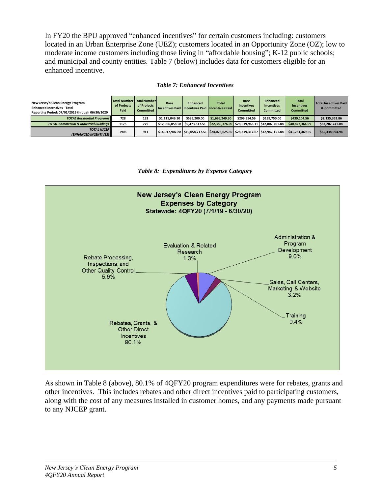In FY20 the BPU approved "enhanced incentives" for certain customers including: customers located in an Urban Enterprise Zone (UEZ); customers located in an Opportunity Zone (OZ); low to moderate income customers including those living in "affordable housing"; K-12 public schools; and municipal and county entities. Table 7 (below) includes data for customers eligible for an enhanced incentive.

|  | <b>Table 7: Enhanced Incentives</b> |
|--|-------------------------------------|
|  |                                     |

| New Jersey's Clean Energy Program<br><b>Enhanced Incentives - Total</b><br>Reporting Period: 07/01/2019 through 06/30/2020 | of Projects<br>Paid | Total Number Total Number<br>of Projects<br><b>Committed</b> | Base<br>Incentives Paid   Incentives Paid   Incentives Paid | <b>Enhanced</b> | Total           | <b>Base</b><br><b>Incentives</b><br><b>Committed</b> | Enhanced<br><b>Incentives</b><br><b>Committed</b>                                        | <b>Total</b><br><b>Incentives</b><br><b>Committed</b> | <b>Total Incentives Paid</b><br>& Committed |
|----------------------------------------------------------------------------------------------------------------------------|---------------------|--------------------------------------------------------------|-------------------------------------------------------------|-----------------|-----------------|------------------------------------------------------|------------------------------------------------------------------------------------------|-------------------------------------------------------|---------------------------------------------|
| <b>TOTAL Residential Programs</b>                                                                                          | 728                 | 132                                                          | \$1.111.049.30                                              | \$585.200.00    | \$1,696,249.30  | \$299.354.56                                         | \$139.750.00                                                                             | \$439,104.56                                          | \$2,135,353.86                              |
| <b>TOTAL Commercial &amp; Industrial Buildings</b>                                                                         | 1175                | 779                                                          | \$12.906.858.58                                             | \$9,473,517.51  | \$22,380,376.09 | \$28.019.963.11                                      | \$12.802.401.88                                                                          | \$40,822,364.99                                       | \$63,202,741.08                             |
| <b>TOTAL NJCEP</b><br>(ENHANCED INCENTIVES)                                                                                | 1903                | 911                                                          |                                                             |                 |                 |                                                      | \$14.017.907.88   \$10.058.717.51   \$24.076.625.39    \$28.319.317.67   \$12.942.151.88 | \$41,261,469.55                                       | \$65,338,094.94                             |





As shown in Table 8 (above), 80.1% of 4QFY20 program expenditures were for rebates, grants and other incentives. This includes rebates and other direct incentives paid to participating customers, along with the cost of any measures installed in customer homes, and any payments made pursuant to any NJCEP grant.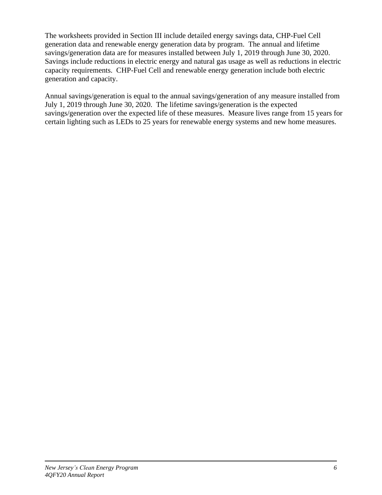The worksheets provided in Section III include detailed energy savings data, CHP-Fuel Cell generation data and renewable energy generation data by program. The annual and lifetime savings/generation data are for measures installed between July 1, 2019 through June 30, 2020. Savings include reductions in electric energy and natural gas usage as well as reductions in electric capacity requirements. CHP-Fuel Cell and renewable energy generation include both electric generation and capacity.

Annual savings/generation is equal to the annual savings/generation of any measure installed from July 1, 2019 through June 30, 2020. The lifetime savings/generation is the expected savings/generation over the expected life of these measures. Measure lives range from 15 years for certain lighting such as LEDs to 25 years for renewable energy systems and new home measures.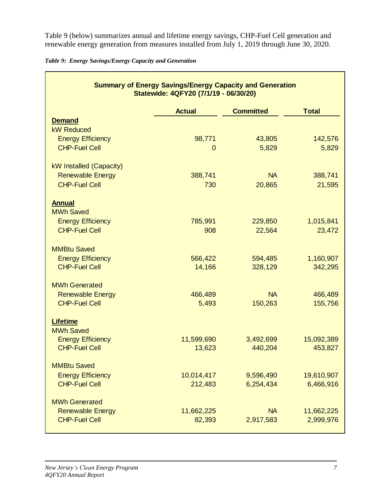Table 9 (below) summarizes annual and lifetime energy savings, CHP-Fuel Cell generation and renewable energy generation from measures installed from July 1, 2019 through June 30, 2020.

|  | Table 9: Energy Savings/Energy Capacity and Generation |  |  |  |
|--|--------------------------------------------------------|--|--|--|
|  |                                                        |  |  |  |

|                                                                        | <b>Summary of Energy Savings/Energy Capacity and Generation</b><br>Statewide: 4QFY20 (7/1/19 - 06/30/20) |                    |                      |
|------------------------------------------------------------------------|----------------------------------------------------------------------------------------------------------|--------------------|----------------------|
|                                                                        | <b>Actual</b>                                                                                            | <b>Committed</b>   | <b>Total</b>         |
| <b>Demand</b>                                                          |                                                                                                          |                    |                      |
| <b>kW Reduced</b>                                                      |                                                                                                          |                    |                      |
| <b>Energy Efficiency</b>                                               | 98,771                                                                                                   | 43,805             | 142,576              |
| <b>CHP-Fuel Cell</b>                                                   | $\mathbf{0}$                                                                                             | 5,829              | 5,829                |
| kW Installed (Capacity)                                                |                                                                                                          |                    |                      |
| <b>Renewable Energy</b>                                                | 388,741                                                                                                  | <b>NA</b>          | 388,741              |
| <b>CHP-Fuel Cell</b>                                                   | 730                                                                                                      | 20,865             | 21,595               |
| <b>Annual</b><br><b>MWh Saved</b>                                      |                                                                                                          |                    |                      |
| <b>Energy Efficiency</b>                                               | 785,991                                                                                                  | 229,850            | 1,015,841            |
| <b>CHP-Fuel Cell</b>                                                   | 908                                                                                                      | 22,564             | 23,472               |
| <b>MMBtu Saved</b><br><b>Energy Efficiency</b><br><b>CHP-Fuel Cell</b> | 566,422<br>14,166                                                                                        | 594,485<br>328,129 | 1,160,907<br>342,295 |
| <b>MWh Generated</b>                                                   |                                                                                                          |                    |                      |
| <b>Renewable Energy</b>                                                | 466,489                                                                                                  | <b>NA</b>          | 466,489              |
| <b>CHP-Fuel Cell</b>                                                   | 5,493                                                                                                    | 150,263            | 155,756              |
| <b>Lifetime</b><br><b>MWh Saved</b>                                    |                                                                                                          |                    |                      |
| <b>Energy Efficiency</b>                                               | 11,599,690                                                                                               | 3,492,699          | 15,092,389           |
| <b>CHP-Fuel Cell</b>                                                   | 13,623                                                                                                   | 440,204            | 453,827              |
| <b>MMBtu Saved</b>                                                     |                                                                                                          |                    |                      |
| <b>Energy Efficiency</b>                                               | 10,014,417                                                                                               | 9,596,490          | 19,610,907           |
| <b>CHP-Fuel Cell</b>                                                   | 212,483                                                                                                  | 6,254,434          | 6,466,916            |
| <b>MWh Generated</b>                                                   |                                                                                                          |                    |                      |
| <b>Renewable Energy</b>                                                | 11,662,225                                                                                               | <b>NA</b>          | 11,662,225           |
| <b>CHP-Fuel Cell</b>                                                   | 82,393                                                                                                   | 2,917,583          | 2,999,976            |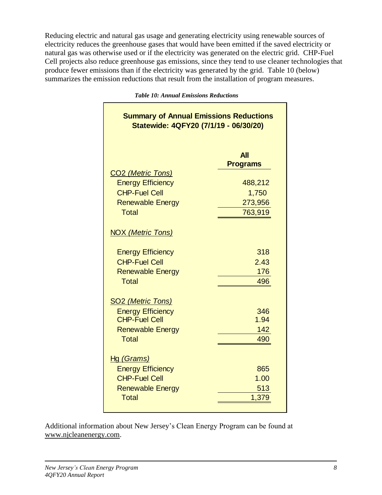Reducing electric and natural gas usage and generating electricity using renewable sources of electricity reduces the greenhouse gases that would have been emitted if the saved electricity or natural gas was otherwise used or if the electricity was generated on the electric grid. CHP-Fuel Cell projects also reduce greenhouse gas emissions, since they tend to use cleaner technologies that produce fewer emissions than if the electricity was generated by the grid. Table 10 (below) summarizes the emission reductions that result from the installation of program measures.

| <b>Summary of Annual Emissions Reductions</b><br>Statewide: 4QFY20 (7/1/19 - 06/30/20)                                             |                                                                         |  |  |  |  |  |  |  |  |
|------------------------------------------------------------------------------------------------------------------------------------|-------------------------------------------------------------------------|--|--|--|--|--|--|--|--|
| CO <sub>2</sub> (Metric Tons)<br><b>Energy Efficiency</b><br><b>CHP-Fuel Cell</b><br><b>Renewable Energy</b><br><b>Total</b>       | <b>All</b><br><b>Programs</b><br>488,212<br>1,750<br>273,956<br>763,919 |  |  |  |  |  |  |  |  |
| <b>NOX (Metric Tons)</b><br><b>Energy Efficiency</b><br><b>CHP-Fuel Cell</b><br><b>Renewable Energy</b><br><b>Total</b>            | 318<br>2.43<br>176<br>496                                               |  |  |  |  |  |  |  |  |
| <b>SO<sub>2</sub></b> (Metric Tons)<br><b>Energy Efficiency</b><br><b>CHP-Fuel Cell</b><br><b>Renewable Energy</b><br><b>Total</b> | 346<br>1.94<br>142<br>490                                               |  |  |  |  |  |  |  |  |
| Hg (Grams)<br><b>Energy Efficiency</b><br><b>CHP-Fuel Cell</b><br><b>Renewable Energy</b><br><b>Total</b>                          | 865<br>1.00<br>513<br>1,379                                             |  |  |  |  |  |  |  |  |

*Table 10: Annual Emissions Reductions*

Additional information about New Jersey's Clean Energy Program can be found at [www.njcleanenergy.com.](http://www.njcleanenergy.com/)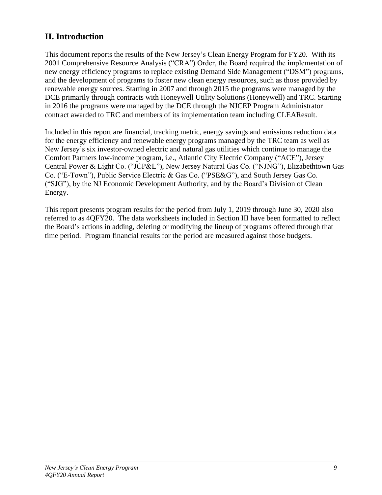## **II. Introduction**

This document reports the results of the New Jersey's Clean Energy Program for FY20. With its 2001 Comprehensive Resource Analysis ("CRA") Order, the Board required the implementation of new energy efficiency programs to replace existing Demand Side Management ("DSM") programs, and the development of programs to foster new clean energy resources, such as those provided by renewable energy sources. Starting in 2007 and through 2015 the programs were managed by the DCE primarily through contracts with Honeywell Utility Solutions (Honeywell) and TRC. Starting in 2016 the programs were managed by the DCE through the NJCEP Program Administrator contract awarded to TRC and members of its implementation team including CLEAResult.

Included in this report are financial, tracking metric, energy savings and emissions reduction data for the energy efficiency and renewable energy programs managed by the TRC team as well as New Jersey's six investor-owned electric and natural gas utilities which continue to manage the Comfort Partners low-income program, i.e., Atlantic City Electric Company ("ACE"), Jersey Central Power & Light Co. ("JCP&L"), New Jersey Natural Gas Co. ("NJNG"), Elizabethtown Gas Co. ("E-Town"), Public Service Electric & Gas Co. ("PSE&G"), and South Jersey Gas Co. ("SJG"), by the NJ Economic Development Authority, and by the Board's Division of Clean Energy.

This report presents program results for the period from July 1, 2019 through June 30, 2020 also referred to as 4QFY20. The data worksheets included in Section III have been formatted to reflect the Board's actions in adding, deleting or modifying the lineup of programs offered through that time period. Program financial results for the period are measured against those budgets.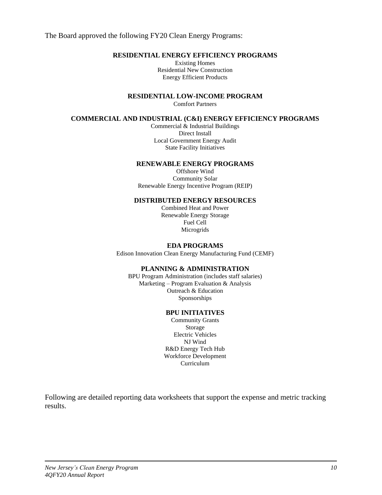The Board approved the following FY20 Clean Energy Programs:

#### **RESIDENTIAL ENERGY EFFICIENCY PROGRAMS**

Existing Homes Residential New Construction Energy Efficient Products

**RESIDENTIAL LOW-INCOME PROGRAM**

Comfort Partners

#### **COMMERCIAL AND INDUSTRIAL (C&I) ENERGY EFFICIENCY PROGRAMS**

Commercial & Industrial Buildings Direct Install Local Government Energy Audit State Facility Initiatives

#### **RENEWABLE ENERGY PROGRAMS**

Offshore Wind Community Solar Renewable Energy Incentive Program (REIP)

#### **DISTRIBUTED ENERGY RESOURCES**

Combined Heat and Power Renewable Energy Storage Fuel Cell Microgrids

#### **EDA PROGRAMS**

Edison Innovation Clean Energy Manufacturing Fund (CEMF)

#### **PLANNING & ADMINISTRATION**

BPU Program Administration (includes staff salaries) Marketing – Program Evaluation & Analysis Outreach & Education Sponsorships

#### **BPU INITIATIVES**

Community Grants Storage Electric Vehicles NJ Wind R&D Energy Tech Hub Workforce Development Curriculum

Following are detailed reporting data worksheets that support the expense and metric tracking results.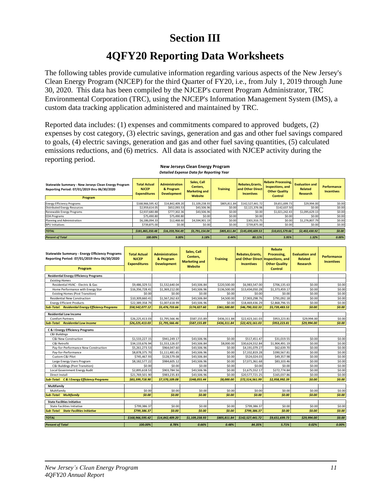## **Section III**

## **4QFY20 Reporting Data Worksheets**

The following tables provide cumulative information regarding various aspects of the New Jersey's Clean Energy Program (NJCEP) for the third Quarter of FY20, i.e., from July 1, 2019 through June 30, 2020. This data has been compiled by the NJCEP's current Program Administrator, TRC Environmental Corporation (TRC), using the NJCEP's Information Management System (IMS), a custom data tracking application administered and maintained by TRC.

Reported data includes: (1) expenses and commitments compared to approved budgets, (2) expenses by cost category, (3) electric savings, generation and gas and other fuel savings compared to goals, (4) electric savings, generation and gas and other fuel saving quantities, (5) calculated emissions reductions, and (6) metrics. All data is associated with NJCEP activity during the reporting period.

| Detailed Experise Data for Reporting Tear                                                                       |                                                            |                                                          |                                                            |                 |                                                           |                                                                                         |                                              |                                         |  |  |  |
|-----------------------------------------------------------------------------------------------------------------|------------------------------------------------------------|----------------------------------------------------------|------------------------------------------------------------|-----------------|-----------------------------------------------------------|-----------------------------------------------------------------------------------------|----------------------------------------------|-----------------------------------------|--|--|--|
| Statewide Summary - New Jerseys Clean Energy Program<br>Reporting Period: 07/01/2019 thru 06/30/2020<br>Program | <b>Total Actual</b><br><b>NJCEP</b><br><b>Expenditures</b> | <b>Administration</b><br>& Program<br><b>Development</b> | Sales, Call<br>Centers.<br><b>Marketing and</b><br>Website | <b>Training</b> | Rebates, Grants,<br>and Other Direct<br><b>Incentives</b> | <b>Rebate Processing,</b><br>Inspections, and<br><b>Other Quality</b><br><b>Control</b> | <b>Evaluation and</b><br>Related<br>Research | <b>Performance</b><br><b>Incentives</b> |  |  |  |
| <b>Energy Efficiency Programs</b>                                                                               | \$168,966,595.42                                           | \$14,842,409.20                                          | \$1,109,238.93                                             | \$805,811.84    | \$142,527,441.72                                          | \$9,651,699.73                                                                          | \$29,994.00                                  | \$0.00                                  |  |  |  |
| <b>Distributed Energy Resources</b>                                                                             | \$2,959,614.05                                             | \$652,093.53                                             | \$43,506.96                                                | \$0.00          | \$2,121,376.06                                            | \$142,637.50                                                                            | \$0.00                                       | \$0.00                                  |  |  |  |
| Renewable Energy Programs                                                                                       | \$2,937,680.88                                             | \$777,302.36                                             | \$43,506.96                                                | \$0.00          | \$0.00                                                    | \$1,021,242.43                                                                          | \$1,095,629.13                               | \$0.00                                  |  |  |  |
| <b>EDA Programs</b>                                                                                             | \$75,490.80                                                | \$75,490.80                                              | \$0.00                                                     | \$0.00          | \$0.00                                                    | \$0.00                                                                                  | \$0.00                                       | \$0.00                                  |  |  |  |
| Planning and Administration                                                                                     | \$6,186,094.33                                             | \$12,468.60                                              | \$4,594,901.19                                             | \$0.00          | \$301.916.75                                              | \$0.00                                                                                  | \$1,276,807.79                               | \$0.00                                  |  |  |  |
| <b>BPU Initiatives</b>                                                                                          | \$739,875.00                                               | \$0.00                                                   | \$0.00                                                     | \$0.00          | \$739,875.00                                              | \$0.00                                                                                  | \$0.00                                       | \$0.00                                  |  |  |  |
| <b>TOTAL</b>                                                                                                    | \$181.865.350.48                                           | \$16,359,764.49                                          | \$5,791,154.04                                             | \$805,811.84    | \$145,690,609.53                                          | \$10,815,579.66                                                                         | \$2,402,430.92                               | \$0.00                                  |  |  |  |
| <b>Percent of Total</b>                                                                                         | 100.00%                                                    | 9.00%                                                    | 3.18%                                                      | 0.44%           | $80.11\%$                                                 | 5.95%                                                                                   | 1.32%                                        | 0.00%                                   |  |  |  |

| New Jerseys Clean Energy Program                |  |
|-------------------------------------------------|--|
| <b>Detailed Expense Data for Reporting Year</b> |  |

| <b>Statewide Summary - Energy Efficiency Programs</b><br>Reporting Period: 07/01/2019 thru 06/30/2020<br>Program | <b>Total Actual</b><br><b>NJCEP</b><br><b>Expenditures</b> | <b>Administration</b><br>& Program<br><b>Development</b> | Sales, Call<br>Centers,<br><b>Marketing and</b><br><b>Website</b> | <b>Training</b> | Rebates, Grants,<br>and Other Direct<br><b>Incentives</b> | <b>Rebate</b><br>Processing.<br>Inspections, and<br><b>Other Quality</b><br><b>Control</b> | <b>Evaluation and</b><br><b>Related</b><br><b>Research</b> | <b>Performance</b><br><b>Incentives</b> |
|------------------------------------------------------------------------------------------------------------------|------------------------------------------------------------|----------------------------------------------------------|-------------------------------------------------------------------|-----------------|-----------------------------------------------------------|--------------------------------------------------------------------------------------------|------------------------------------------------------------|-----------------------------------------|
| <b>Residential Energy Efficiency Programs</b>                                                                    |                                                            |                                                          |                                                                   |                 |                                                           |                                                                                            |                                                            |                                         |
| <b>Existing Homes</b>                                                                                            |                                                            |                                                          |                                                                   |                 |                                                           |                                                                                            |                                                            |                                         |
| Residential HVAC - Electric & Gas                                                                                | \$9,486,329.51                                             | \$1,532,640.04                                           | \$43,506.84                                                       | \$220,500.00    | \$6,983,547.00                                            | \$706.135.63                                                                               | \$0.00                                                     | \$0.00                                  |
| Home Performance with Energy Star                                                                                | \$16,356,728.41                                            | \$1.369.212.00                                           | \$43,506.96                                                       | \$136,500.00    | \$13,434,050.28                                           | \$1,373,459.17                                                                             | \$0.00                                                     | \$0.00                                  |
| <b>Existing Homes (Post Transition)</b>                                                                          | \$0.00                                                     | \$0.00                                                   | \$0.00                                                            | \$0.00          | \$0.00                                                    | \$0.00                                                                                     | \$0.00                                                     | \$0.00                                  |
| <b>Residential New Construction</b>                                                                              | \$10,309,660.41                                            | \$1,567,262.63                                           | \$43,506.84                                                       | \$4,500.00      | \$7,903,298.76                                            | \$791,092.18                                                                               | \$0.00                                                     | \$0.00                                  |
| <b>Energy Efficient Products</b>                                                                                 | \$22,389,358.79                                            | \$1,007,618.99                                           | \$43,506.96                                                       | \$0.00          | \$18,469,436.29                                           | \$2,868,796.55                                                                             | \$0.00                                                     | \$0.00                                  |
| <b>Sub-Total: Residential Energy Efficiency Programs</b>                                                         | \$58,542,077.12                                            | \$5,476,733.66                                           | \$174,027.60                                                      | \$361,500.00    | \$46.790.332.33                                           | \$5,739,483.53                                                                             | \$0.00                                                     | \$0.00                                  |
| <b>Residential Low Income</b>                                                                                    |                                                            |                                                          |                                                                   |                 |                                                           |                                                                                            |                                                            |                                         |
| <b>Comfort Partners</b>                                                                                          | \$26,225,413.03                                            | \$1.795.566.46                                           | \$587,155.89                                                      | \$436,311.84    | \$22.423.161.03                                           | \$953.223.81                                                                               | \$29,994.00                                                | \$0.00                                  |
| <b>Sub-Total: Residential Low Income</b>                                                                         | \$26,225,413.03                                            | \$1,795,566.46                                           | \$587,155.89                                                      | \$436,311.84    | \$22,423,161.03                                           | \$953,223.81                                                                               | \$29,994.00                                                | \$0.00                                  |
| <b>C &amp; I Energy Efficiency Programs</b>                                                                      |                                                            |                                                          |                                                                   |                 |                                                           |                                                                                            |                                                            |                                         |
| C&I Buildings                                                                                                    |                                                            |                                                          |                                                                   |                 |                                                           |                                                                                            |                                                            |                                         |
| C&I New Construction                                                                                             | \$1,533,227.15                                             | \$941,249.17                                             | \$43,506.96                                                       | \$0.00          | \$517,451.47                                              | \$31,019.55                                                                                | \$0.00                                                     | \$0.00                                  |
| C&I Retrofit                                                                                                     | \$34,133,676.94                                            | \$1,553,126.07                                           | \$43,506.84                                                       | \$8,000.00      | \$30,624,552.84                                           | \$1,904,491.19                                                                             | \$0.00                                                     | \$0.00                                  |
| Pay-for-Performance New Construction                                                                             | \$5,261,273.53                                             | \$964,047.60                                             | \$43,506.96                                                       | \$0.00          | \$4,191,079.27                                            | \$62,639.70                                                                                | \$0.00                                                     | \$0.00                                  |
| Pay-for-Performance                                                                                              | \$8,878,375.70                                             | \$1,111,481.65                                           | \$43,506.96                                                       | \$0.00          | \$7,332,819.28                                            | \$390,567.81                                                                               | \$0.00                                                     | \$0.00                                  |
| Custom C&I Pilot                                                                                                 | \$745.467.93                                               | \$128,579.08                                             | \$43,506.84                                                       | \$0.00          | \$524,024.03                                              | \$49.357.98                                                                                | \$0.00                                                     | \$0.00                                  |
| Large Energy Users Program                                                                                       | \$8.182.577.22                                             | \$984,605.12                                             | \$43,506.96                                                       | \$0.00          | \$7,071,361.68                                            | \$83.103.46                                                                                | \$0.00                                                     | \$0.00                                  |
| C&I Buildings (Post Transition)                                                                                  | \$0.00                                                     | \$0.00                                                   | \$0.00                                                            | \$0.00          | \$0.00                                                    | \$0.00                                                                                     | \$0.00                                                     | \$0.00                                  |
| Local Government Energy Audit                                                                                    | \$2,895,618.53                                             | \$903,784.56                                             | \$43,506.96                                                       | \$0.00          | \$1,675,552.17                                            | \$272,774.84                                                                               | \$0.00                                                     | \$0.00                                  |
| Direct Install                                                                                                   | \$21,769,501.90                                            | \$983,235.83                                             | \$43,506.96                                                       | \$0.00          | \$20,577,721.25                                           | \$165,037.86                                                                               | \$0.00                                                     | \$0.00                                  |
| <b>Sub-Total: C &amp; I Energy Efficiency Programs</b>                                                           | \$83,399,718.90                                            | \$7,570,109.08                                           | \$348,055.44                                                      | \$8,000.00      | \$72,514,561.99                                           | \$2,958,992.39                                                                             | \$0.00                                                     | \$0.00                                  |
| Multifamily                                                                                                      |                                                            |                                                          |                                                                   |                 |                                                           |                                                                                            |                                                            |                                         |
| Multifamily                                                                                                      | \$0.00                                                     | \$0.00                                                   | \$0.00                                                            | \$0.00          | \$0.00                                                    | \$0.00                                                                                     | \$0.00                                                     | \$0.00                                  |
| <b>Sub-Total: Multifamily</b>                                                                                    | \$0.00                                                     | \$0.00                                                   | \$0.00                                                            | \$0.00          | \$0.00                                                    | \$0.00                                                                                     | \$0.00                                                     | \$0.00                                  |
| <b>State Facilities Initiative</b>                                                                               |                                                            |                                                          |                                                                   |                 |                                                           |                                                                                            |                                                            |                                         |
| <b>State Facilities Initiative</b>                                                                               | \$799,386.37                                               | \$0.00                                                   | \$0.00                                                            | \$0.00          | \$799,386.37                                              | \$0.00                                                                                     | \$0.00                                                     | \$0.00                                  |
| <b>Sub-Total: State Facilities Initiative</b>                                                                    | \$799,386.37                                               | \$0.00                                                   | \$0.00                                                            | \$0.00          | \$799,386.37                                              | \$0.00                                                                                     | \$0.00                                                     | \$0.00                                  |
| <b>TOTAL</b>                                                                                                     | \$168,966,595.42                                           | \$14,842,409.20                                          | \$1,109,238.93                                                    | \$805,811.84    | \$142.527.441.72                                          | \$9,651,699.73                                                                             | \$29,994.00                                                | \$0.00                                  |
| <b>Percent of Total</b>                                                                                          | 100.00%                                                    | 8.78%                                                    | 0.66%                                                             | 0.48%           | 84.35%                                                    | 5.71%                                                                                      | 0.02%                                                      | 0.00%                                   |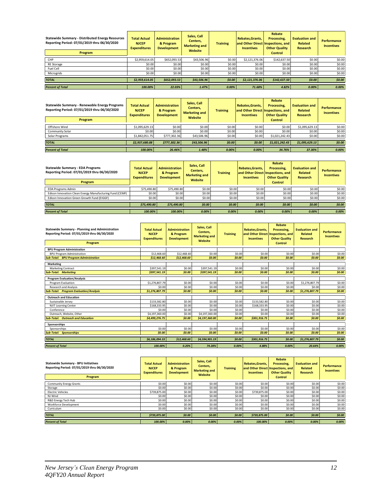| <b>Statewide Summary - Distributed Energy Resources</b><br>Reporting Period: 07/01/2019 thru 06/30/2020<br>Program | <b>Total Actual</b><br><b>NJCEP</b><br><b>Expenditures</b> | <b>Administration</b><br>& Program<br><b>Development</b> | Sales, Call<br>Centers,<br><b>Marketing and</b><br>Website | <b>Training</b> | Rebates.Grants.<br><b>Incentives</b> | Rebate<br>Processing.<br>and Other Direct Inspections, and<br><b>Other Quality</b><br><b>Control</b> | <b>Evaluation and</b><br>Related<br>Research | <b>Performance</b><br><b>Incentives</b> |
|--------------------------------------------------------------------------------------------------------------------|------------------------------------------------------------|----------------------------------------------------------|------------------------------------------------------------|-----------------|--------------------------------------|------------------------------------------------------------------------------------------------------|----------------------------------------------|-----------------------------------------|
| CHP                                                                                                                | \$2,959,614.05                                             | \$652,093.53                                             | \$43,506.96                                                | \$0.00          | \$2,121,376.06                       | \$142,637.50                                                                                         | \$0.00                                       | \$0.00                                  |
| <b>RE</b> Storage                                                                                                  | \$0.00                                                     | \$0.00                                                   | \$0.00                                                     | \$0.00          | \$0.00                               | \$0.00                                                                                               | \$0.00                                       | \$0.00                                  |
| Fuel Cell                                                                                                          | \$0.00                                                     | \$0.00                                                   | \$0.00                                                     | \$0.00          | \$0.00                               | \$0.00                                                                                               | \$0.00                                       | \$0.00                                  |
| Microgrids                                                                                                         | \$0.00                                                     | \$0.00                                                   | \$0.00                                                     | \$0.00          | \$0.00                               | \$0.00                                                                                               | \$0.00                                       | \$0.00                                  |
| <b>TOTAL</b>                                                                                                       | \$2.959.614.05                                             | \$652.093.53                                             | \$43,506.96                                                | \$0.00          | \$2,121,376.06                       | \$142.637.50                                                                                         | \$0.00                                       | \$0.00                                  |
| <b>Percent of Total</b>                                                                                            | 100.00%                                                    | 22.03%                                                   | 1.47%                                                      | 0.00%           | 71.68%                               | 4.82%                                                                                                | 0.00%                                        | 0.00%                                   |

| Statewide Summary - Renewable Energy Programs<br>Reporting Period: 07/01/2019 thru 06/30/2020<br>Program | <b>Total Actual</b><br><b>NJCEP</b><br><b>Expenditures</b> | <b>Administration</b><br>& Program<br><b>Development</b> | Sales, Call<br>Centers,<br><b>Marketing and</b><br>Website | <b>Training</b> | Rebates, Grants,<br>and Other Direct<br><b>Incentives</b> | Rebate<br>Processing,<br>Inspections, and<br><b>Other Quality</b><br><b>Control</b> | <b>Evaluation and</b><br><b>Related</b><br><b>Research</b> | <b>Performance</b><br><b>Incentives</b> |
|----------------------------------------------------------------------------------------------------------|------------------------------------------------------------|----------------------------------------------------------|------------------------------------------------------------|-----------------|-----------------------------------------------------------|-------------------------------------------------------------------------------------|------------------------------------------------------------|-----------------------------------------|
| Offshore Wind                                                                                            | \$1,095,629.13                                             | \$0.00                                                   | \$0.00                                                     | \$0.00          | \$0.00                                                    | \$0.00                                                                              | \$1,095,629.13                                             | \$0.00                                  |
| Community Solar                                                                                          | \$0.00                                                     | \$0.00                                                   | \$0.00                                                     | \$0.00          | \$0.00                                                    | \$0.00                                                                              | \$0.00                                                     | \$0.00                                  |
| Solar Programs                                                                                           | \$1,842,051.75                                             | \$777,302.36                                             | \$43,506.96                                                | \$0.00          | \$0.00                                                    | \$1,021,242.43                                                                      | \$0.00                                                     | \$0.00                                  |
| <b>TOTAL</b>                                                                                             | \$2.937.680.88                                             | \$777,302.36                                             | \$43,506.96                                                | \$0.00          | \$0.00                                                    | \$1.021.242.43                                                                      | \$1.095.629.13                                             | \$0.00                                  |
| <b>Percent of Total</b>                                                                                  | 100.00%                                                    | 26.46%                                                   | 1.48%                                                      | 0.00%           | 0.00%                                                     | 34.76%                                                                              | 37.30%                                                     | 0.00%                                   |

| <b>Statewide Summary - EDA Programs</b><br>Reporting Period: 07/01/2019 thru 06/30/2020<br>Program | <b>Total Actual</b><br><b>NJCEP</b><br><b>Expenditures</b> | <b>Administration</b><br>& Program<br><b>Development</b> | Sales, Call<br>Centers,<br><b>Marketing and</b><br>Website | <b>Training</b> | <b>Rebates.Grants.</b><br>and Other Direct Inspections, and<br><b>Incentives</b> | Rebate<br>Processing.<br><b>Other Quality</b><br><b>Control</b> | <b>Evaluation and</b><br>Related<br><b>Research</b> | <b>Performance</b><br><b>Incentives</b> |
|----------------------------------------------------------------------------------------------------|------------------------------------------------------------|----------------------------------------------------------|------------------------------------------------------------|-----------------|----------------------------------------------------------------------------------|-----------------------------------------------------------------|-----------------------------------------------------|-----------------------------------------|
| <b>EDA Programs Admin</b>                                                                          | \$75,490.80                                                | \$75,490.80                                              | \$0.00                                                     | \$0.00          | \$0.00                                                                           | \$0.00                                                          | \$0.00                                              | \$0.00                                  |
| Edison Innovation Clean Energy Manufacturing Fund (CEMF)                                           | \$0.00                                                     | \$0.00                                                   | \$0.00                                                     | \$0.00          | \$0.00                                                                           | \$0.00                                                          | \$0.00                                              | \$0.00                                  |
| Edison Innovation Green Growth Fund (EIGGF)                                                        | \$0.00                                                     | \$0.00                                                   | \$0.00                                                     | \$0.00          | \$0.00                                                                           | \$0.00                                                          | \$0.00                                              | \$0.00                                  |
| <b>TOTAL</b>                                                                                       | \$75,490.80                                                | \$75,490.80                                              | \$0.00                                                     | \$0.00          | \$0.00                                                                           | \$0.00                                                          | \$0.00                                              | \$0.00                                  |
| <b>Percent of Total</b>                                                                            | 100.00%                                                    | 100.00%                                                  | 0.00%                                                      | 0.00%           | 0.00%                                                                            | 0.00%                                                           | 0.00%                                               | 0.00%                                   |

| Statewide Summary - Planning and Administration<br>Reporting Period: 07/01/2019 thru 06/30/2020<br>Program | <b>Total Actual</b><br><b>NJCEP</b><br><b>Expenditures</b> | <b>Administration</b><br>& Program<br><b>Development</b> | Sales, Call<br>Centers.<br><b>Marketing and</b><br>Website | <b>Training</b> | Rebates, Grants,<br>and Other Direct Inspections, and<br><b>Incentives</b> | Rebate<br>Processing,<br><b>Other Quality</b><br><b>Control</b> | <b>Evaluation and</b><br><b>Related</b><br>Research | Performance<br><b>Incentives</b> |
|------------------------------------------------------------------------------------------------------------|------------------------------------------------------------|----------------------------------------------------------|------------------------------------------------------------|-----------------|----------------------------------------------------------------------------|-----------------------------------------------------------------|-----------------------------------------------------|----------------------------------|
| <b>BPU Program Administration</b>                                                                          |                                                            |                                                          |                                                            |                 |                                                                            |                                                                 |                                                     |                                  |
| <b>BPU Program Administration</b>                                                                          | \$12,468.60                                                | \$12,468.60                                              | \$0.00                                                     | \$0.00          | \$0.00                                                                     | \$0.00                                                          | \$0.00                                              | \$0.00                           |
| <b>Sub-Total: BPU Program Administration</b>                                                               | \$12,468.60                                                | \$12,468.60                                              | \$0.00                                                     | \$0.00          | \$0.00                                                                     | \$0.00                                                          | \$0.00                                              | \$0.00                           |
| <b>Marketing</b>                                                                                           |                                                            |                                                          |                                                            |                 |                                                                            |                                                                 |                                                     |                                  |
| <b>Marketing Contract</b>                                                                                  | \$397.541.19                                               | \$0.00                                                   | \$397,541.19                                               | \$0.00          | \$0.00                                                                     | \$0.00                                                          | \$0.00                                              | \$0.00                           |
| <b>Sub-Total: Marketing</b>                                                                                | \$397.541.19                                               | \$0.00                                                   | \$397,541.19                                               | \$0.00          | \$0.00                                                                     | \$0.00                                                          | \$0.00                                              | \$0.00                           |
| <b>Program Evaluation/Analysis</b>                                                                         |                                                            |                                                          |                                                            |                 |                                                                            |                                                                 |                                                     |                                  |
| Program Evaluation                                                                                         | \$1,276,807.79                                             | \$0.00                                                   | \$0.00                                                     | \$0.00          | \$0.00                                                                     | \$0.00                                                          | \$1,276,807.79                                      | \$0.00                           |
| <b>Research and Analysis</b>                                                                               | \$0.00                                                     | \$0.00                                                   | \$0.00                                                     | \$0.00          | \$0.00                                                                     | \$0.00                                                          | \$0.00                                              | \$0.00                           |
| <b>Sub-Total: Program Evaluation/Analysis</b>                                                              | \$1,276,807.79                                             | \$0.00                                                   | \$0.00                                                     | \$0.00          | \$0.00                                                                     | \$0.00                                                          | \$1,276,807.79                                      | \$0.00                           |
| <b>Outreach and Education</b>                                                                              |                                                            |                                                          |                                                            |                 |                                                                            |                                                                 |                                                     |                                  |
| Sustainable Jersey                                                                                         | \$133,582.80                                               | \$0.00                                                   | \$0.00                                                     | \$0.00          | \$133,582.80                                                               | \$0.00                                                          | \$0.00                                              | \$0.00                           |
| <b>NJIT Learning Center</b>                                                                                | \$168,333.95                                               | \$0.00                                                   | \$0.00                                                     | \$0.00          | \$168,333.95                                                               | \$0.00                                                          | \$0.00                                              | \$0.00                           |
| Conference                                                                                                 | \$0.00                                                     | \$0.00                                                   | \$0.00                                                     | \$0.00          | \$0.00                                                                     | \$0.00                                                          | \$0.00                                              | \$0.00                           |
| Outreach, Website, Other                                                                                   | \$4,197,360.00                                             | \$0.00                                                   | \$4,197,360.00                                             | \$0.00          | \$0.00                                                                     | \$0.00                                                          | \$0.00                                              | \$0.00                           |
| <b>Sub-Total: Outreach and Education</b>                                                                   | \$4,499,276.75                                             | \$0.00                                                   | \$4,197,360.00                                             | \$0.00          | \$301.916.75                                                               | \$0.00                                                          | \$0.00                                              | \$0.00                           |
| Sponsorships                                                                                               |                                                            |                                                          |                                                            |                 |                                                                            |                                                                 |                                                     |                                  |
| Sponsorships                                                                                               | \$0.00                                                     | \$0.00                                                   | \$0.00                                                     | \$0.00          | \$0.00                                                                     | \$0.00                                                          | \$0.00                                              | \$0.00                           |
| <b>Sub-Total: Sponsorships</b>                                                                             | \$0.00                                                     | \$0.00                                                   | \$0.00                                                     | \$0.00          | \$0.00                                                                     | \$0.00                                                          | \$0.00                                              | \$0.00                           |
| <b>TOTAL</b>                                                                                               | \$6,186,094.33                                             | \$12,468.60                                              | \$4,594,901.19                                             | \$0.00          | \$301,916.75                                                               | \$0.00                                                          | \$1,276,807.79                                      | \$0.00                           |
| <b>Percent of Total</b>                                                                                    | 100.00%                                                    | 0.20%                                                    | 74.28%                                                     | 0.00%           | 4.88%                                                                      | 0.00%                                                           | 20.64%                                              | 0.00%                            |

| <b>Statewide Summary - BPU Initiatives</b><br>Reporting Period: 07/01/2019 thru 06/30/2020<br>Program | <b>Total Actual</b><br><b>NJCEP</b><br><b>Expenditures</b> | <b>Administration</b><br>& Program<br><b>Development</b> | Sales, Call<br>Centers,<br><b>Marketing and</b><br>Website | <b>Training</b> | Rebates.Grants.<br><b>Incentives</b> | Rebate<br>Processing,<br>and Other Direct Inspections, and<br><b>Other Quality</b><br><b>Control</b> | <b>Evaluation and</b><br>Related<br><b>Research</b> | Performance<br><b>Incentives</b> |
|-------------------------------------------------------------------------------------------------------|------------------------------------------------------------|----------------------------------------------------------|------------------------------------------------------------|-----------------|--------------------------------------|------------------------------------------------------------------------------------------------------|-----------------------------------------------------|----------------------------------|
| <b>Community Energy Grants</b>                                                                        | \$0.00                                                     | \$0.00                                                   | \$0.00                                                     | \$0.00          | \$0.00                               | \$0.00                                                                                               | \$0.00                                              | \$0.00                           |
| Storage                                                                                               | \$0.00                                                     | \$0.00                                                   | \$0.00                                                     | \$0.00          | \$0.00                               | \$0.00                                                                                               | \$0.00                                              | \$0.00                           |
| <b>Electric Vehicles</b>                                                                              | \$739,875,00                                               | \$0.00                                                   | \$0.00                                                     | \$0.00          | \$739,875.00                         | \$0.00                                                                                               | \$0.00                                              | \$0.00                           |
| NJ Wind                                                                                               | \$0.00                                                     | \$0.00                                                   | \$0.00                                                     | \$0.00          | \$0.00                               | \$0.00                                                                                               | \$0.00                                              | \$0.00                           |
| R&D Energy Tech Hub                                                                                   | \$0.00                                                     | \$0.00                                                   | \$0.00                                                     | \$0.00          | \$0.00                               | \$0.00                                                                                               | \$0.00                                              | \$0.00                           |
| Workforce Development                                                                                 | \$0.00                                                     | \$0.00                                                   | \$0.00                                                     | \$0.00          | \$0.00                               | \$0.00                                                                                               | \$0.00                                              | \$0.00                           |
| Curriculum                                                                                            | \$0.00                                                     | \$0.00                                                   | \$0.00                                                     | \$0.00          | \$0.00                               | \$0.00                                                                                               | \$0.00                                              | \$0.00                           |
| <b>TOTAL</b>                                                                                          | \$739.875.00                                               | \$0.00                                                   | \$0.00                                                     | \$0.00          | \$739,875.00                         | \$0.00                                                                                               | \$0.00                                              | \$0.00                           |
| <b>Percent of Total</b>                                                                               | 100.00%                                                    | 0.00%                                                    | 0.00%                                                      | $0.00\%$        | 100.00%                              | 0.00%                                                                                                | 0.00%                                               | 0.00%                            |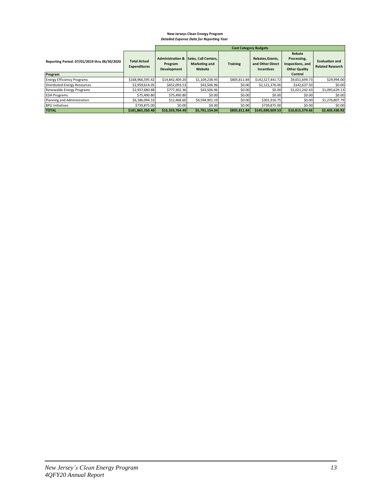#### **New Jerseys Clean Energy Program** *Detailed Expense Data for Reporting Year*

|                                                         |                                            |                                                       |                                                         | <b>Cost Category Budgets</b> |                                                           |                                                                              |                                                  |
|---------------------------------------------------------|--------------------------------------------|-------------------------------------------------------|---------------------------------------------------------|------------------------------|-----------------------------------------------------------|------------------------------------------------------------------------------|--------------------------------------------------|
| Reporting Period: 07/01/2019 thru 06/30/2020<br>Program | <b>Total Actual</b><br><b>Expenditures</b> | <b>Administration &amp;</b><br>Program<br>Development | Sales, Call Centers,<br><b>Marketing and</b><br>Website | <b>Training</b>              | Rebates, Grants,<br>and Other Direct<br><b>Incentives</b> | Rebate<br>Processing,<br>Inspections, and<br><b>Other Quality</b><br>Control | <b>Evaluation and</b><br><b>Related Research</b> |
| <b>Energy Efficiency Programs</b>                       | \$168,966,595.42                           | \$14,842,409.20                                       | \$1,109,238.93                                          | \$805,811.84                 | \$142,527,441.72                                          | \$9,651,699.73                                                               | \$29,994.00                                      |
| Distributed Energy Resources                            | \$2,959,614.05                             | \$652.093.53                                          | \$43,506.96                                             | \$0.00                       | \$2,121,376.06                                            | \$142,637.50                                                                 | \$0.00                                           |
| Renewable Energy Programs                               | \$2,937,680.88                             | \$777.302.36                                          | \$43,506.96                                             | \$0.00                       | \$0.00                                                    | \$1,021,242.43                                                               | \$1,095,629.13                                   |
| <b>EDA Programs</b>                                     | \$75,490.80                                | \$75,490.80                                           | \$0.00                                                  | \$0.00                       | \$0.00                                                    | \$0.00                                                                       | \$0.00                                           |
| Planning and Administration                             | \$6.186.094.33                             | \$12,468.60                                           | \$4.594.901.19                                          | \$0.00                       | \$301.916.75                                              | \$0.00                                                                       | \$1,276,807.79                                   |
| <b>BPU Initiatives</b>                                  | \$739.875.00                               | \$0.00                                                | \$0.00                                                  | \$0.00                       | \$739,875,00                                              | \$0.00                                                                       | \$0.00                                           |
| <b>TOTAL</b>                                            | \$181,865,350.48                           | \$16,359,764.49                                       | \$5,791,154.04                                          | \$805.811.84                 | \$145,690,609.53                                          | \$10,815,579.66                                                              | \$2.402.430.92                                   |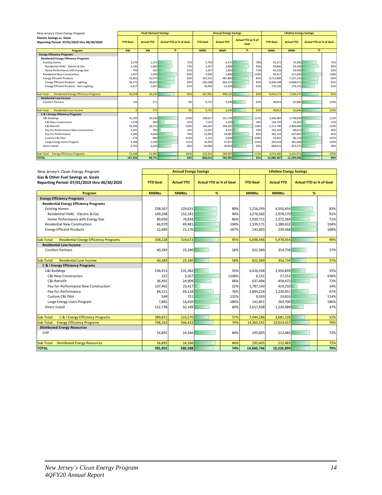| New Jersey's Clean Energy Program                                                 |                 | <b>Peak Demand Savings</b> |                                |      |                 | <b>Annual Energy Savings</b> |                                   |      |                 | <b>Lifetime Energy Savings</b> |                                |      |
|-----------------------------------------------------------------------------------|-----------------|----------------------------|--------------------------------|------|-----------------|------------------------------|-----------------------------------|------|-----------------|--------------------------------|--------------------------------|------|
| <b>Electric Savings vs. Goals</b><br>Reporting Period: 07/01/2019 thru 06/30/2020 | <b>YTD Goal</b> | <b>Actual YTD</b>          | <b>Actual YTD as % of Goal</b> |      | <b>YTD Goal</b> | <b>Actual YTD</b>            | <b>Actual YTD as % of</b><br>Goal |      | <b>YTD Goal</b> | <b>Actual YTD</b>              | <b>Actual YTD as % of Goal</b> |      |
| Program                                                                           | kw              | kw                         | %                              |      | <b>MWh</b>      | <b>MWh</b>                   | %                                 |      | <b>MWh</b>      | <b>MWh</b>                     | %                              |      |
| <b>Energy Efficiency Programs</b>                                                 |                 |                            |                                |      |                 |                              |                                   |      |                 |                                |                                |      |
| <b>Residential Energy Efficiency Programs</b>                                     |                 |                            |                                |      |                 |                              |                                   |      |                 |                                |                                |      |
| <b>Existing Homes</b>                                                             | 3,279           | 2,313                      |                                | 71%  | 5.754           | 4,471                        |                                   | 78%  | 93,372          | 70,306                         |                                | 75%  |
| Residential HVAC - Flectric & Gas                                                 | 2,536           | 1.860                      |                                | 73%  | 3.397           | 2.808                        |                                   | 83%  | 50,846          | 43,348                         |                                | 85%  |
| Home Performance with Energy Star                                                 | 743             | 452                        |                                | 61%  | 2,357           | 1,663                        |                                   | 71%  | 42,526          | 26,958                         |                                | 63%  |
| <b>Residential New Construction</b>                                               | 2,047           | 1,950                      |                                | 95%  | 4,996           | 5,884                        |                                   | 118% | 99,917          | 117,640                        |                                | 118% |
| <b>Energy Efficient Products</b>                                                  | 50.991          | 41.973                     |                                | 82%  | 597.241         | 487.800                      |                                   | 82%  | 8,722,884       | 7,147,226                      |                                | 82%  |
| <b>Energy Efficient Products - Lighting</b>                                       | 46,175          | 39,015                     |                                | 84%  | 560,248         | 464,474                      |                                   | 83%  | 8,446,548       | 6,968,071                      |                                | 82%  |
| Energy Efficient Products - Non-Lighting                                          | 4.817           | 2.957                      |                                | 61%  | 36.993          | 23,326                       |                                   | 63%  | 276,336         | 179,155                        |                                | 65%  |
| <b>Residential Energy Efficiency Programs</b><br>Sub-Total:                       | 56.318          | 46.235                     |                                | 82%  | 607.991         | 498.155                      |                                   | 82%  | 8.916.173       | 7,335,172                      |                                | 82%  |
| <b>Residential Low Income</b>                                                     |                 |                            |                                |      |                 |                              |                                   |      |                 |                                |                                |      |
| <b>Comfort Partners</b>                                                           | <b>NA</b>       | 571                        |                                | 0%   | 6.722           | 4.249                        |                                   | 63%  | 48.814          | 62,846                         |                                | 129% |
| <b>Residential Low Income</b><br>Sub-Total:                                       | $\Omega$        | 571                        |                                | 0%   | 6.722           | 4.249                        |                                   | 63%  | 48.814          | 62,846                         |                                | 129% |
| C & I Energy Efficiency Programs                                                  |                 |                            |                                |      |                 |                              |                                   |      |                 |                                |                                |      |
| <b>C&amp;I Buildings</b>                                                          | 41,295          | 45,536                     |                                | 110% | 208,617         | 252,744                      |                                   | 121% | 3,346,484       | 3,748,099                      |                                | 112% |
| <b>C&amp;I New Construction</b>                                                   | 1,378           | 482                        |                                | 35%  | 7.547           | 2,259                        |                                   | 30%  | 150,720         | 33.450                         |                                | 22%  |
| C&I Retrofit                                                                      | 26,938          | 36,752                     |                                | 136% | 146,947         | 199,261                      |                                   | 136% | 2,311,790       | 2,869,968                      |                                | 124% |
| Pay-for-Performance New Construction                                              | 5,145           | 792                        |                                | 15%  | 12.037          | 3.537                        |                                   | 29%  | 192,350         | 68,613                         |                                | 36%  |
| Pay-for-Performance                                                               | 5,289           | 4,044                      |                                | 76%  | 22,950          | 19,087                       |                                   | 83%  | 362,143         | 307,692                        |                                | 85%  |
| Custom C&I Pilot                                                                  | 276             | 868                        |                                | 314% | 2,191           | 5.648                        |                                   | 258% | 34,461          | 86,718                         |                                | 252% |
| Large Energy Users Program                                                        | 2,268           | 2,599                      |                                | 115% | 16,945          | 22,951                       |                                   | 135% | 295,019         | 381,658                        |                                | 129% |
| Direct Install                                                                    | 9.743           | 6,429                      |                                | 66%  | 44,684          | 30,844                       |                                   | 69%  | 668.916         | 453,572                        |                                | 68%  |
| <b>Energy Efficiency Programs</b><br>Sub-Total:                                   | 51,038          | 51,965                     |                                | 102% | 253,301         | 283,587                      |                                   | 112% | 4,015,400       | 4,201,671                      |                                | 105% |
| <b>TOTAL</b>                                                                      | 107.356         | 98,771                     |                                | 92%  | 868.014         | 785,991                      |                                   | 91%  | 12,980,387      | 11,599,690                     |                                | 89%  |

| New Jersey's Clean Energy Program                                                  |                 | <b>Annual Energy Savings</b><br><b>Lifetime Energy Savings</b> |                                |       |                 |                   |                                |      |
|------------------------------------------------------------------------------------|-----------------|----------------------------------------------------------------|--------------------------------|-------|-----------------|-------------------|--------------------------------|------|
| Gas & Other Fuel Savings vs. Goals<br>Reporting Period: 07/01/2019 thru 06/30/2020 | <b>YTD Goal</b> | <b>Actual YTD</b>                                              | <b>Actual YTD as % of Goal</b> |       | <b>YTD Goal</b> | <b>Actual YTD</b> | <b>Actual YTD as % of Goal</b> |      |
| Program                                                                            | <b>MMBtu</b>    | <b>MMBtu</b>                                                   | %                              |       | <b>MMBtu</b>    | <b>MMBtu</b>      | %                              |      |
| <b>Energy Efficiency Programs</b>                                                  |                 |                                                                |                                |       |                 |                   |                                |      |
| <b>Residential Energy Efficiency Programs</b>                                      |                 |                                                                |                                |       |                 |                   |                                |      |
| <b>Existing Homes</b>                                                              | 258,567         | 229,015                                                        |                                | 89%   | 5,216,293       | 4,350,454         |                                | 83%  |
| Residential HVAC - Electric & Gas                                                  | 169,508         | 152,181                                                        |                                | 90%   | 3,276,582       | 2,978,170         |                                | 91%  |
| Home Performance with Energy Star                                                  | 89,059          | 76,834                                                         |                                | 86%   | 1,939,711       | 1,372,284         |                                | 71%  |
| <b>Residential New Construction</b>                                                | 66,979          | 69,481                                                         |                                | 104%  | 1,339,571       | 1,388,432         |                                | 104% |
| <b>Energy Efficient Products</b>                                                   | 12,683          | 21,176                                                         |                                | 167%  | 142,603         | 239,568           |                                | 168% |
|                                                                                    |                 |                                                                |                                |       |                 |                   |                                |      |
| <b>Residential Energy Efficiency Programs</b><br>Sub-Total:                        | 338,228         | 319,672                                                        |                                | 95%   | 6,698,466       | 5,978,454         |                                | 89%  |
| <b>Residential Low Income</b>                                                      |                 |                                                                |                                |       |                 |                   |                                |      |
| <b>Comfort Partners</b>                                                            | 40,283          | 23,180                                                         |                                | 58%   | 622,389         | 354,734           |                                | 57%  |
| <b>Residential Low Income</b><br>Sub-Total:                                        | 40,283          | 23,180                                                         |                                | 58%   | 622,389         | 354,734           |                                | 57%  |
| <b>C &amp; I Energy Efficiency Programs</b>                                        |                 |                                                                |                                |       |                 |                   |                                |      |
| C&I Buildings                                                                      | 236,913         | 131,382                                                        |                                | 55%   | 4,426,358       | 2,450,839         |                                | 55%  |
| C&I New Construction                                                               | 322             | 3,567                                                          |                                | 1108% | 6,151           | 57,552            |                                | 936% |
| C&I Retrofit                                                                       | 36,491          | 24,909                                                         |                                | 68%   | 637,494         | 458,472           |                                | 72%  |
| Pay-for-Performance New Construction                                               | 107,465         | 23,417                                                         |                                | 22%   | 1,787,143       | 424,250           |                                | 24%  |
| Pay-for-Performance                                                                | 84,211          | 64,118                                                         |                                | 76%   | 1,844,216       | 1,236,051         |                                | 67%  |
| Custom C&I Pilot                                                                   | 544             | 721                                                            |                                | 132%  | 9,503           | 10,816            |                                | 114% |
| Large Energy Users Program                                                         | 7,881           | 14,650                                                         |                                | 186%  | 141,851         | 263.700           |                                | 186% |
| Direct Install                                                                     | 152,738         | 92,189                                                         |                                | 60%   | 2,617,928       | 1,230,389         |                                | 47%  |
| Sub-Total:<br>C & I Energy Efficiency Programs                                     | 389,651         | 223,570                                                        |                                | 57%   | 7,044,286       | 3,681,228         |                                | 52%  |
| Sub-Total: Energy Efficiency Programs                                              | 768,163         | 566,422                                                        |                                | 74%   | 14,365,141      | 10,014,417        |                                | 70%  |
| <b>Distributed Energy Resources</b>                                                |                 |                                                                |                                |       |                 |                   |                                |      |
| CHP                                                                                | 16,892          | 14,166                                                         |                                | 84%   | 295,605         | 212.483           |                                | 72%  |
| Sub-Total: Distributed Energy Resources                                            | 16,892          | 14,166                                                         |                                | 84%   | 295,605         | 212,483           |                                | 72%  |
| <b>TOTAL</b>                                                                       | 785,055         | 580,588                                                        |                                | 74%   | 14,660,746      | 10,226,899        |                                | 70%  |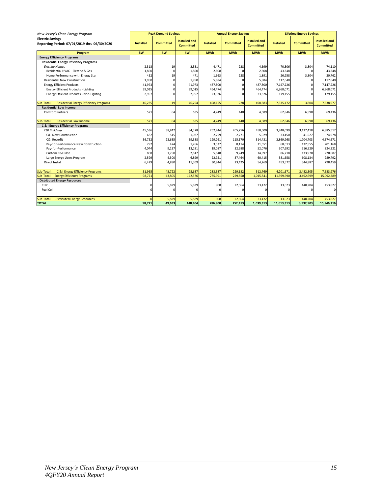| New Jersey's Clean Energy Program                                       |                  | <b>Peak Demand Savings</b> |                                          |                  | <b>Annual Energy Savings</b> |                                          | <b>Lifetime Energy Savings</b> |                  |                                          |
|-------------------------------------------------------------------------|------------------|----------------------------|------------------------------------------|------------------|------------------------------|------------------------------------------|--------------------------------|------------------|------------------------------------------|
| <b>Electric Savings</b><br>Reporting Period: 07/01/2019 thru 06/30/2020 | <b>Installed</b> | <b>Committed</b>           | <b>Installed and</b><br><b>Committed</b> | <b>Installed</b> | <b>Committed</b>             | <b>Installed and</b><br><b>Committed</b> | <b>Installed</b>               | <b>Committed</b> | <b>Installed and</b><br><b>Committed</b> |
| Program                                                                 | kW               | kw                         | kw                                       | <b>MWh</b>       | <b>MWh</b>                   | <b>MWh</b>                               | <b>MWh</b>                     | <b>MWh</b>       | <b>MWh</b>                               |
| <b>Energy Efficiency Programs</b>                                       |                  |                            |                                          |                  |                              |                                          |                                |                  |                                          |
| <b>Residential Energy Efficiency Programs</b>                           |                  |                            |                                          |                  |                              |                                          |                                |                  |                                          |
| <b>Existing Homes</b>                                                   | 2,313            | 19                         | 2,331                                    | 4,471            | 228                          | 4,699                                    | 70,306                         | 3,804            | 74,110                                   |
| Residential HVAC - Electric & Gas                                       | 1,860            | $\Omega$                   | 1,860                                    | 2,808            | $\Omega$                     | 2,808                                    | 43,348                         | $\Omega$         | 43,348                                   |
| Home Performance with Energy Star                                       | 452              | 19                         | 471                                      | 1,663            | 228                          | 1,891                                    | 26,958                         | 3,804            | 30,762                                   |
| <b>Residential New Construction</b>                                     | 1,950            | $\Omega$                   | 1,950                                    | 5,884            | $\Omega$                     | 5,884                                    | 117,640                        | 0                | 117,640                                  |
| <b>Energy Efficient Products</b>                                        | 41,973           | C                          | 41,973                                   | 487,800          | n                            | 487,800                                  | 7,147,226                      | $\Omega$         | 7,147,226                                |
| <b>Energy Efficient Products - Lighting</b>                             | 39,015           | C                          | 39,015                                   | 464,474          |                              | 464,474                                  | 6,968,071                      | $\Omega$         | 6,968,071                                |
| Energy Efficient Products - Non-Lighting                                | 2,957            | C                          | 2,957                                    | 23,326           | $\Omega$                     | 23,326                                   | 179,155                        | $\Omega$         | 179,155                                  |
| <b>Residential Energy Efficiency Programs</b><br>Sub-Total:             | 46,235           | 19                         | 46,254                                   | 498,155          | 228                          | 498,383                                  | 7,335,172                      | 3,804            | 7,338,977                                |
| <b>Residential Low Income</b>                                           |                  |                            |                                          |                  |                              |                                          |                                |                  |                                          |
| <b>Comfort Partners</b>                                                 | 571              | 64                         | 635                                      | 4,249            | 440                          | 4,689                                    | 62,846                         | 6,590            | 69,436                                   |
| <b>Residential Low Income</b><br>Sub-Total:                             | 571              | 64                         | 635                                      | 4,249            | 440                          | 4,689                                    | 62,846                         | 6,590            | 69,436                                   |
| <b>C &amp; I Energy Efficiency Programs</b>                             |                  |                            |                                          |                  |                              |                                          |                                |                  |                                          |
| <b>C&amp;I Buildinas</b>                                                | 45,536           | 38,842                     | 84,378                                   | 252,744          | 205,756                      | 458,500                                  | 3,748,099                      | 3,137,418        | 6,885,517                                |
| C&I New Construction                                                    | 482              | 545                        | 1,027                                    | 2,259            | 2,771                        | 5,029                                    | 33,450                         | 41,527           | 74,978                                   |
| C&I Retrofit                                                            | 36,752           | 22,635                     | 59,388                                   | 199,261          | 115,170                      | 314,431                                  | 2,869,968                      | 1,704,703        | 4,574,671                                |
| Pay-for-Performance New Construction                                    | 792              | 474                        | 1,266                                    | 3,537            | 8,114                        | 11,651                                   | 68,613                         | 132,555          | 201,168                                  |
| Pay-for-Performance                                                     | 4,044            | 9,137                      | 13,181                                   | 19,087           | 32,988                       | 52,076                                   | 307,692                        | 516,529          | 824,221                                  |
| Custom C&I Pilot                                                        | 868              | 1,750                      | 2,617                                    | 5,648            | 9,249                        | 14,897                                   | 86,718                         | 133,970          | 220,687                                  |
| Large Energy Users Program                                              | 2,599            | 4,300                      | 6,899                                    | 22,951           | 37,464                       | 60,415                                   | 381,658                        | 608,134          | 989,792                                  |
| Direct Install                                                          | 6,429            | 4,880                      | 11,309                                   | 30,844           | 23,425                       | 54,269                                   | 453,572                        | 344,887          | 798,459                                  |
| C & I Energy Efficiency Programs<br>Sub-Total:                          | 51,965           | 43,722                     | 95,687                                   | 283,587          | 229,182                      | 512,769                                  | 4,201,671                      | 3,482,305        | 7,683,976                                |
| <b>Energy Efficiency Programs</b><br>Sub-Total:                         | 98.771           | 43,805                     | 142,576                                  | 785,991          | 229,850                      | 1,015,841                                | 11,599,690                     | 3,492,699        | 15,092,389                               |
| <b>Distributed Energy Resources</b>                                     |                  |                            |                                          |                  |                              |                                          |                                |                  |                                          |
| CHP                                                                     | $\Omega$         | 5,829                      | 5,829                                    | 908              | 22,564                       | 23,472                                   | 13,623                         | 440,204          | 453,827                                  |
| Fuel Cell                                                               | O                | C                          |                                          | $\Omega$         |                              | O                                        |                                |                  | $\mathbf 0$                              |
| Sub-Total:<br><b>Distributed Energy Resources</b>                       | $\Omega$         | 5,829                      | 5,829                                    | 908              | 22,564                       | 23,472                                   | 13,623                         | 440,204          | 453,827                                  |
| <b>TOTAL</b>                                                            | 98.771           | 49,633                     | 148,404                                  | 786,900          | 252,413                      | 1,039,313                                | 11,613,313                     | 3,932,903        | 15,546,216                               |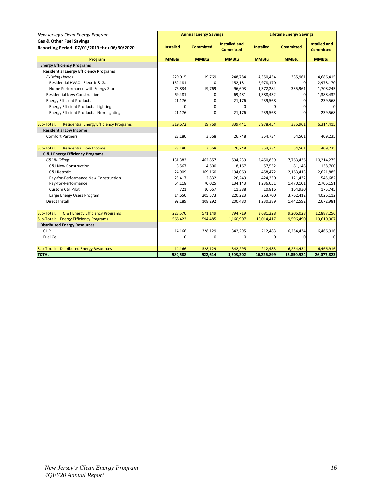| New Jersey's Clean Energy Program                                                   |                  | <b>Annual Energy Savings</b> |                                          | <b>Lifetime Energy Savings</b> |                  |                                          |  |  |
|-------------------------------------------------------------------------------------|------------------|------------------------------|------------------------------------------|--------------------------------|------------------|------------------------------------------|--|--|
| <b>Gas &amp; Other Fuel Savings</b><br>Reporting Period: 07/01/2019 thru 06/30/2020 | <b>Installed</b> | <b>Committed</b>             | <b>Installed and</b><br><b>Committed</b> | <b>Installed</b>               | <b>Committed</b> | <b>Installed and</b><br><b>Committed</b> |  |  |
| Program                                                                             | <b>MMBtu</b>     | <b>MMBtu</b>                 | <b>MMBtu</b>                             | <b>MMBtu</b>                   | <b>MMBtu</b>     | <b>MMBtu</b>                             |  |  |
| <b>Energy Efficiency Programs</b>                                                   |                  |                              |                                          |                                |                  |                                          |  |  |
| <b>Residential Energy Efficiency Programs</b>                                       |                  |                              |                                          |                                |                  |                                          |  |  |
| <b>Existing Homes</b>                                                               | 229,015          | 19,769                       | 248,784                                  | 4,350,454                      | 335,961          | 4,686,415                                |  |  |
| Residential HVAC - Electric & Gas                                                   | 152,181          | 0                            | 152,181                                  | 2,978,170                      | 0                | 2,978,170                                |  |  |
| Home Performance with Energy Star                                                   | 76,834           | 19,769                       | 96,603                                   | 1,372,284                      | 335,961          | 1,708,245                                |  |  |
| <b>Residential New Construction</b>                                                 | 69,481           | 0                            | 69,481                                   | 1,388,432                      | 0                | 1,388,432                                |  |  |
| <b>Energy Efficient Products</b>                                                    | 21,176           | 0                            | 21,176                                   | 239,568                        | $\Omega$         | 239,568                                  |  |  |
| <b>Energy Efficient Products - Lighting</b>                                         | 0                | 0                            | 0                                        | 0                              | $\Omega$         | $\Omega$                                 |  |  |
| Energy Efficient Products - Non-Lighting                                            | 21,176           | $\Omega$                     | 21,176                                   | 239,568                        | <sub>0</sub>     | 239,568                                  |  |  |
| <b>Residential Energy Efficiency Programs</b><br>Sub-Total:                         | 319,672          | 19,769                       | 339,441                                  | 5,978,454                      | 335,961          | 6,314,415                                |  |  |
| <b>Residential Low Income</b>                                                       |                  |                              |                                          |                                |                  |                                          |  |  |
| <b>Comfort Partners</b>                                                             | 23,180           | 3,568                        | 26,748                                   | 354,734                        | 54,501           | 409,235                                  |  |  |
| <b>Residential Low Income</b><br>Sub-Total:                                         | 23,180           | 3,568                        | 26,748                                   | 354,734                        | 54,501           | 409,235                                  |  |  |
| <b>C &amp; I Energy Efficiency Programs</b>                                         |                  |                              |                                          |                                |                  |                                          |  |  |
| C&I Buildings                                                                       | 131,382          | 462,857                      | 594,239                                  | 2,450,839                      | 7,763,436        | 10,214,275                               |  |  |
| <b>C&amp;I New Construction</b>                                                     | 3,567            | 4,600                        | 8,167                                    | 57,552                         | 81,148           | 138,700                                  |  |  |
| C&I Retrofit                                                                        | 24,909           | 169,160                      | 194,069                                  | 458,472                        | 2,163,413        | 2,621,885                                |  |  |
| Pay-for-Performance New Construction                                                | 23,417           | 2,832                        | 26,249                                   | 424,250                        | 121,432          | 545,682                                  |  |  |
| Pay-for-Performance                                                                 | 64,118           | 70,025                       | 134,143                                  | 1,236,051                      | 1,470,101        | 2,706,151                                |  |  |
| Custom C&I Pilot                                                                    | 721              | 10,667                       | 11,388                                   | 10,816                         | 164,930          | 175,745                                  |  |  |
| Large Energy Users Program                                                          | 14,650           | 205,573                      | 220,223                                  | 263,700                        | 3,762,412        | 4,026,112                                |  |  |
| Direct Install                                                                      | 92,189           | 108,292                      | 200,480                                  | 1,230,389                      | 1,442,592        | 2,672,981                                |  |  |
| Sub-Total:<br>C & I Energy Efficiency Programs                                      | 223,570          | 571,149                      | 794,719                                  | 3,681,228                      | 9,206,028        | 12,887,256                               |  |  |
| <b>Energy Efficiency Programs</b><br>Sub-Total:                                     | 566,422          | 594,485                      | 1,160,907                                | 10,014,417                     | 9,596,490        | 19,610,907                               |  |  |
| <b>Distributed Energy Resources</b>                                                 |                  |                              |                                          |                                |                  |                                          |  |  |
| CHP                                                                                 | 14,166           | 328,129                      | 342,295                                  | 212,483                        | 6,254,434        | 6,466,916                                |  |  |
| Fuel Cell                                                                           | $\Omega$         | O                            | 0                                        | 0                              | $\Omega$         | $\mathbf 0$                              |  |  |
| <b>Distributed Energy Resources</b><br>Sub-Total:                                   | 14,166           | 328,129                      | 342,295                                  | 212,483                        | 6,254,434        | 6,466,916                                |  |  |
| <b>TOTAL</b>                                                                        | 580,588          | 922,614                      | 1,503,202                                | 10,226,899                     | 15,850,924       | 26,077,823                               |  |  |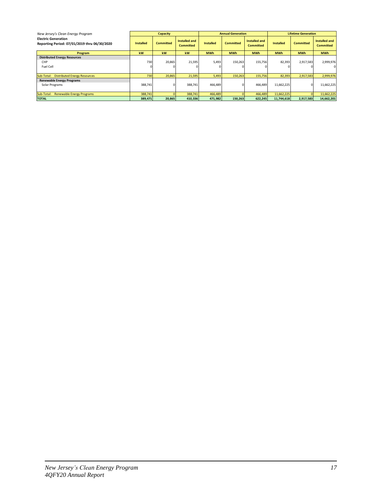| New Jersey's Clean Energy Program                                          |                  | <b>Capacity</b>  |                                   |                  | <b>Annual Generation</b> |                                   | <b>Lifetime Generation</b> |                  |                                          |
|----------------------------------------------------------------------------|------------------|------------------|-----------------------------------|------------------|--------------------------|-----------------------------------|----------------------------|------------------|------------------------------------------|
| <b>Electric Generation</b><br>Reporting Period: 07/01/2019 thru 06/30/2020 | <b>Installed</b> | <b>Committed</b> | Installed and<br><b>Committed</b> | <b>Installed</b> | <b>Committed</b>         | Installed and<br><b>Committed</b> | <b>Installed</b>           | <b>Committed</b> | <b>Installed and</b><br><b>Committed</b> |
| Program                                                                    | kW               | kW               | kW                                | <b>MWh</b>       | <b>MWh</b>               | <b>MWh</b>                        | <b>MWh</b>                 | <b>MWh</b>       | <b>MWh</b>                               |
| <b>Distributed Energy Resources</b>                                        |                  |                  |                                   |                  |                          |                                   |                            |                  |                                          |
| CHP                                                                        | 730              | 20,865           | 21,595                            | 5,493            | 150,263                  | 155,756                           | 82,393                     | 2,917,583        | 2,999,976                                |
| Fuel Cell                                                                  |                  |                  |                                   |                  |                          |                                   |                            |                  | $\Omega$                                 |
| Sub-Total: Distributed Energy Resources                                    | 730              | 20,865           | 21,595                            | 5,493            | 150,263                  | 155,756                           | 82,393                     | 2,917,583        | 2,999,976                                |
| <b>Renewable Energy Programs</b>                                           |                  |                  |                                   |                  |                          |                                   |                            |                  |                                          |
| Solar Programs                                                             | 388,741          | 01               | 388,741                           | 466,489          |                          | 466,489                           | 11,662,225                 | $\Omega$         | 11,662,225                               |
| <b>Renewable Energy Programs</b><br>Sub-Total:                             | 388,741          |                  | 388,741                           | 466,489          |                          | 466,489                           | 11,662,225                 |                  | 11,662,225                               |
| <b>TOTAL</b>                                                               | 389,471          | 20,865           | 410,336                           | 471,982          | 150,263                  | 622,245                           | 11,744,618                 | 2,917,583        | 14,662,201                               |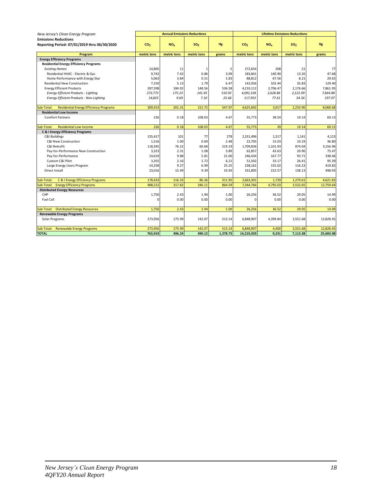| New Jersey's Clean Energy Program                           |                 | <b>Annual Emissions Reductions</b> |                 |           |                 | <b>Lifetime Emissions Reductions</b> |                 |           |
|-------------------------------------------------------------|-----------------|------------------------------------|-----------------|-----------|-----------------|--------------------------------------|-----------------|-----------|
| <b>Emissions Reductions</b>                                 |                 |                                    |                 |           |                 |                                      |                 |           |
| Reporting Period: 07/01/2019 thru 06/30/2020                | CO <sub>2</sub> | NO <sub>x</sub>                    | SO <sub>2</sub> | <b>Hg</b> | CO <sub>2</sub> | NO <sub>v</sub>                      | SO <sub>2</sub> | <b>Hg</b> |
| Program                                                     | metric tons     | metric tons                        | metric tons     | grams     | metric tons     | metric tons                          | metric tons     | grams     |
| <b>Energy Efficiency Programs</b>                           |                 |                                    |                 |           |                 |                                      |                 |           |
| <b>Residential Energy Efficiency Programs</b>               |                 |                                    |                 |           |                 |                                      |                 |           |
| <b>Existing Homes</b>                                       | 14,805          | 11                                 | 1               | 5         | 272,654         | 208                                  | 21              | 77        |
| Residential HVAC - Electric & Gas                           | 9,742           | 7.42                               | 0.86            | 3.09      | 183,841         | 140.90                               | 13.20           | 47.68     |
| Home Performance with Energy Star                           | 5,063           | 3.84                               | 0.51            | 1.83      | 88,812          | 67.56                                | 8.21            | 29.65     |
| <b>Residential New Construction</b>                         | 7,150           | 5.13                               | 1.79            | 6.47      | 142,926         | 102.44                               | 35.83           | 129.40    |
| <b>Energy Efficient Products</b>                            | 287,598         | 184.92                             | 148.56          | 536.58    | 4,210,112       | 2,706.47                             | 2,176.66        | 7.861.95  |
| <b>Energy Efficient Products - Lighting</b>                 | 272,773         | 175.23                             | 141.45          | 510.92    | 4,092,158       | 2,628.86                             | 2,122.09        | 7,664.88  |
| Energy Efficient Products - Non-Lighting                    | 14,825          | 9.69                               | 7.10            | 25.66     | 117,953         | 77.61                                | 54.56           | 197.07    |
| <b>Residential Energy Efficiency Programs</b><br>Sub-Total: | 309,553         | 201.31                             | 151.72          | 547.97    | 4,625,692       | 3.017                                | 2.233.90        | 8.068.68  |
| <b>Residential Low Income</b>                               |                 |                                    |                 |           |                 |                                      |                 |           |
| <b>Comfort Partners</b>                                     | 226             | 0.18                               | 108.03          | 4.67      | 55,773          | 38.54                                | 19.14           | 69.13     |
| Sub-Total:<br><b>Residential Low Income</b>                 | 226             | 0.18                               | 108.03          | 4.67      | 55,773          | 39                                   | 19.14           | 69.13     |
| <b>C &amp; I Energy Efficiency Programs</b>                 |                 |                                    |                 |           |                 |                                      |                 |           |
| C&I Buildings                                               | 155,417         | 101                                | 77              | 278       | 2,331,496       | 1,517                                | 1.141           | 4,123     |
| C&I New Construction                                        | 1,516           | 1.00                               | 0.69            | 2.48      | 22,705          | 15.03                                | 10.19           | 36.80     |
| C&I Retrofit                                                | 118,345         | 76.22                              | 60.68           | 219.19    | 1,709,836       | 1,101.93                             | 874.04          | 3,156.96  |
| Pay-for-Performance New Construction                        | 3,323           | 2.31                               | 1.08            | 3.89      | 62,857          | 43.63                                | 20.90           | 75.47     |
| Pay-for-Performance                                         | 14,619          | 9.88                               | 5.81            | 21.00     | 246,434         | 167.77                               | 93.71           | 338.46    |
| Custom C&I Pilot                                            | 3,355           | 2.16                               | 1.72            | 6.21      | 51,502          | 33.17                                | 26.41           | 95.39     |
| Large Energy Users Program                                  | 14,258          | 9.27                               | 6.99            | 25.25     | 238,161         | 155.02                               | 116.23          | 419.82    |
| Direct Install                                              | 23,016          | 15.49                              | 9.39            | 33.93     | 331,805         | 222.57                               | 138.13          | 498.93    |
| C & I Energy Efficiency Programs<br>Sub-Total:              | 178,433         | 116.33                             | 86.36           | 311.95    | 2,663,301       | 1,739                                | 1,279.61        | 4,621.83  |
| Sub-Total:<br><b>Energy Efficiency Programs</b>             | 488,212         | 317.82                             | 346.11          | 864.59    | 7,344,766       | 4.795.03                             | 3,532.65        | 12,759.64 |
| <b>Distributed Energy Resources</b>                         |                 |                                    |                 |           |                 |                                      |                 |           |
| CHP                                                         | 1,750           | 2.43                               | 1.94            | 1.00      | 26,256          | 36.52                                | 29.05           | 14.99     |
| <b>Fuel Cell</b>                                            | $\Omega$        | 0.00                               | 0.00            | 0.00      | $\Omega$        | 0.00                                 | 0.00            | 0.00      |
| Sub-Total: Distributed Energy Resources                     | 1,750           | 2.43                               | 1.94            | 1.00      | 26,256          | 36.52                                | 29.05           | 14.99     |
| <b>Renewable Energy Programs</b>                            |                 |                                    |                 |           |                 |                                      |                 |           |
| Solar Programs                                              | 273,956         | 175.99                             | 142.07          | 513.14    | 6,848,907       | 4,399.84                             | 3,551.68        | 12,828.45 |
| Sub-Total: Renewable Energy Programs                        | 273,956         | 175.99                             | 142.07          | 513.14    | 6,848,907       | 4,400                                | 3,551.68        | 12,828.45 |
| <b>TOTAL</b>                                                | 763,919         | 496.24                             | 490.12          | 1,378.73  | 14,219,929      | 9,231                                | 7,113.38        | 25,603.08 |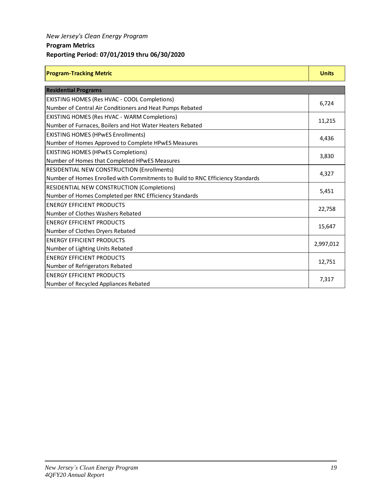### *New Jersey's Clean Energy Program*

### **Program Metrics**

### **Reporting Period: 07/01/2019 thru 06/30/2020**

| <b>Program-Tracking Metric</b> | <b>Units</b> |
|--------------------------------|--------------|
|                                |              |

| <b>Residential Programs</b>                                                    |           |
|--------------------------------------------------------------------------------|-----------|
| EXISTING HOMES (Res HVAC - COOL Completions)                                   |           |
| Number of Central Air Conditioners and Heat Pumps Rebated                      | 6,724     |
| EXISTING HOMES (Res HVAC - WARM Completions)                                   |           |
| Number of Furnaces, Boilers and Hot Water Heaters Rebated                      | 11,215    |
| <b>EXISTING HOMES (HPwES Enrollments)</b>                                      |           |
| Number of Homes Approved to Complete HPwES Measures                            | 4,436     |
| <b>EXISTING HOMES (HPwES Completions)</b>                                      |           |
| Number of Homes that Completed HPwES Measures                                  | 3,830     |
| RESIDENTIAL NEW CONSTRUCTION (Enrollments)                                     |           |
| Number of Homes Enrolled with Commitments to Build to RNC Efficiency Standards | 4,327     |
| RESIDENTIAL NEW CONSTRUCTION (Completions)                                     |           |
| Number of Homes Completed per RNC Efficiency Standards                         | 5,451     |
| <b>ENERGY EFFICIENT PRODUCTS</b>                                               |           |
| Number of Clothes Washers Rebated                                              | 22,758    |
| <b>ENERGY EFFICIENT PRODUCTS</b>                                               | 15,647    |
| Number of Clothes Dryers Rebated                                               |           |
| <b>ENERGY EFFICIENT PRODUCTS</b>                                               | 2,997,012 |
| Number of Lighting Units Rebated                                               |           |
| <b>ENERGY EFFICIENT PRODUCTS</b>                                               | 12,751    |
| Number of Refrigerators Rebated                                                |           |
| <b>ENERGY EFFICIENT PRODUCTS</b>                                               | 7,317     |
| Number of Recycled Appliances Rebated                                          |           |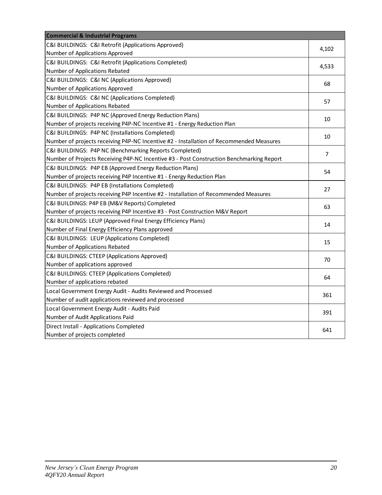| <b>Commercial &amp; Industrial Programs</b>                                              |                |
|------------------------------------------------------------------------------------------|----------------|
| C&I BUILDINGS: C&I Retrofit (Applications Approved)                                      | 4,102          |
| Number of Applications Approved                                                          |                |
| C&I BUILDINGS: C&I Retrofit (Applications Completed)                                     | 4,533          |
| Number of Applications Rebated                                                           |                |
| C&I BUILDINGS: C&I NC (Applications Approved)                                            | 68             |
| Number of Applications Approved                                                          |                |
| C&I BUILDINGS: C&I NC (Applications Completed)                                           | 57             |
| Number of Applications Rebated                                                           |                |
| C&I BUILDINGS: P4P NC (Approved Energy Reduction Plans)                                  | 10             |
| Number of projects receiving P4P-NC Incentive #1 - Energy Reduction Plan                 |                |
| C&I BUILDINGS: P4P NC (Installations Completed)                                          | 10             |
| Number of projects receiving P4P-NC Incentive #2 - Installation of Recommended Measures  |                |
| C&I BUILDINGS: P4P NC (Benchmarking Reports Completed)                                   | $\overline{7}$ |
| Number of Projects Receiving P4P-NC Incentive #3 - Post Construction Benchmarking Report |                |
| C&I BUILDINGS: P4P EB (Approved Energy Reduction Plans)                                  | 54             |
| Number of projects receiving P4P Incentive #1 - Energy Reduction Plan                    |                |
| C&I BUILDINGS: P4P EB (Installations Completed)                                          | 27             |
| Number of projects receiving P4P Incentive #2 - Installation of Recommended Measures     |                |
| C&I BUILDINGS: P4P EB (M&V Reports) Completed                                            | 63             |
| Number of projects receiving P4P Incentive #3 - Post Construction M&V Report             |                |
| C&I BUILDINGS: LEUP (Approved Final Energy Efficiency Plans)                             | 14             |
| Number of Final Energy Efficiency Plans approved                                         |                |
| C&I BUILDINGS: LEUP (Applications Completed)                                             | 15             |
| Number of Applications Rebated                                                           |                |
| C&I BUILDINGS: CTEEP (Applications Approved)                                             | 70             |
| Number of applications approved                                                          |                |
| C&I BUILDINGS: CTEEP (Applications Completed)                                            | 64             |
| Number of applications rebated                                                           |                |
| Local Government Energy Audit - Audits Reviewed and Processed                            | 361            |
| Number of audit applications reviewed and processed                                      |                |
| Local Government Energy Audit - Audits Paid                                              | 391            |
| Number of Audit Applications Paid                                                        |                |
| Direct Install - Applications Completed                                                  | 641            |
| Number of projects completed                                                             |                |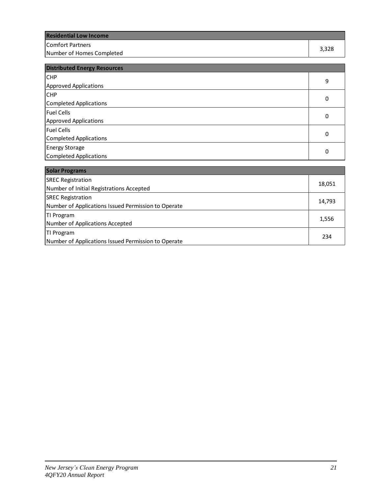| <b>Residential Low Income</b> |       |
|-------------------------------|-------|
| lComfort Partners             | 3,328 |
| Number of Homes Completed     |       |

| <b>Distributed Energy Resources</b> |   |
|-------------------------------------|---|
| <b>CHP</b>                          | 9 |
| <b>Approved Applications</b>        |   |
| <b>CHP</b>                          | 0 |
| Completed Applications              |   |
| <b>Fuel Cells</b>                   | 0 |
| Approved Applications               |   |
| <b>Fuel Cells</b>                   | 0 |
| Completed Applications              |   |
| <b>Energy Storage</b>               | 0 |
| Completed Applications              |   |

| <b>Solar Programs</b>                               |        |
|-----------------------------------------------------|--------|
| <b>SREC Registration</b>                            | 18,051 |
| Number of Initial Registrations Accepted            |        |
| <b>SREC Registration</b>                            | 14,793 |
| Number of Applications Issued Permission to Operate |        |
| <b>TI Program</b>                                   | 1,556  |
| Number of Applications Accepted                     |        |
| TI Program                                          | 234    |
| Number of Applications Issued Permission to Operate |        |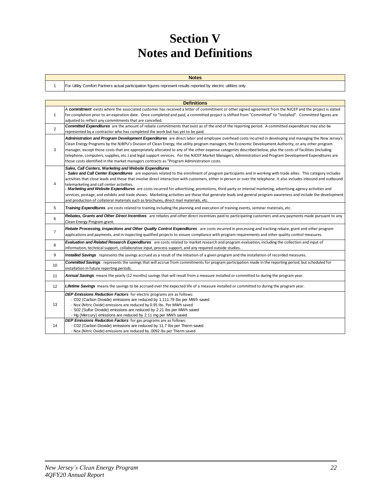# **Section V Notes and Definitions**

| <b>Notes</b>                                                                                                     |
|------------------------------------------------------------------------------------------------------------------|
| For Utility Comfort Partners actual participation figures represent results reported by electric utilities only. |

1

|                | <b>Definitions</b>                                                                                                                                                                                                                                                                                                                                                                                                                                                                                                                                                                                                                                                                                                                                                                                                                                                        |
|----------------|---------------------------------------------------------------------------------------------------------------------------------------------------------------------------------------------------------------------------------------------------------------------------------------------------------------------------------------------------------------------------------------------------------------------------------------------------------------------------------------------------------------------------------------------------------------------------------------------------------------------------------------------------------------------------------------------------------------------------------------------------------------------------------------------------------------------------------------------------------------------------|
| $\mathbf{1}$   | A commitment exists where the associated customer has received a letter of commitment or other signed agreement from the NJCEP and the project is slated<br>for completion prior to an expiration date. Once completed and paid, a committed project is shifted from "Committed" to "Installed". Committed figures are<br>adiusted to reflect any commitments that are cancelled.                                                                                                                                                                                                                                                                                                                                                                                                                                                                                         |
| $\overline{2}$ | <b>Committed Expenditures</b> are the amount of rebate commitments that exist as of the end of the reporting period. A committed expenditure may also be<br>represented by a contractor who has completed the work but has yet to be paid.                                                                                                                                                                                                                                                                                                                                                                                                                                                                                                                                                                                                                                |
| 3              | Administration and Program Development Expenditures are direct labor and employee overhead costs incurred in developing and managing the New Jersey's<br>Clean Energy Programs by the NJBPU's Division of Clean Energy, the utility program managers, the Economic Development Authority, or any other program<br>manager, except those costs that are appropriately allocated to any of the other expense categories described below, plus the costs of facilities (including<br>telephone, computers, supplies, etc.) and legal support services. For the NJCEP Market Managers, Administration and Program Development Expenditures are<br>those costs identified in the market managers contracts as "Program Administration costs.                                                                                                                                   |
| $\overline{4}$ | Sales, Call Centers, Marketing and Website Expenditures<br>- Sales and Call Center Expenditures are expenses related to the enrollment of program participants and in working with trade allies. This category includes<br>activities that close leads and those that involve direct interaction with customers, either in person or over the telephone. It also includes inbound and outbound<br>telemarketing and call center activities.<br><b>- Marketing and Website Expenditures</b> are costs incurred for advertising, promotions, third-party or internal marketing, advertising agency activities and<br>services, postage, and exhibits and trade shows. Marketing activities are those that generate leads and general program awareness and include the development<br>and production of collateral materials such as brochures, direct mail materials, etc. |
| 5              | Training Expenditures are costs related to training including the planning and execution of training events, seminar materials, etc.                                                                                                                                                                                                                                                                                                                                                                                                                                                                                                                                                                                                                                                                                                                                      |
| 6              | Rebates, Grants and Other Direct Incentives are rebates and other direct incentives paid to participating customers and any payments made pursuant to any<br>Clean Energy Program grant.                                                                                                                                                                                                                                                                                                                                                                                                                                                                                                                                                                                                                                                                                  |
| $\overline{7}$ | Rebate Processing, Inspections and Other Quality Control Expenditures are costs incurred in processing and tracking rebate, grant and other program<br>applications and payments, and in inspecting qualified projects to ensure compliance with program requirements and other quality control measures.                                                                                                                                                                                                                                                                                                                                                                                                                                                                                                                                                                 |
| 8              | Evaluation and Related Research Expenditures are costs related to market research and program evaluation, including the collection and input of<br>information, technical support, collaborative input, process support, and any required outside studies.                                                                                                                                                                                                                                                                                                                                                                                                                                                                                                                                                                                                                |
| 9              | Installed Savings represents the savings accrued as a result of the initiation of a given program and the installation of recorded measures.                                                                                                                                                                                                                                                                                                                                                                                                                                                                                                                                                                                                                                                                                                                              |
| 10             | <b>Committed Savings</b> represents the savings that will accrue from commitments for program participation made in the reporting period, but scheduled for<br>installation in future reporting periods.                                                                                                                                                                                                                                                                                                                                                                                                                                                                                                                                                                                                                                                                  |
| 11             | Annual Savings means the yearly (12 months) savings that will result from a measure installed or committed to during the program year.                                                                                                                                                                                                                                                                                                                                                                                                                                                                                                                                                                                                                                                                                                                                    |
| 12             | Lifetime Savings means the savings to be accrued over the expected life of a measure installed or committed to during the program year.                                                                                                                                                                                                                                                                                                                                                                                                                                                                                                                                                                                                                                                                                                                                   |
| 13             | DEP Emissions Reduction Factors for electric programs are as follows:<br>- C02 (Carbon Dioxide) emissions are reduced by 1,111.79 lbs per MWh saved<br>- Nox (Nitric Oxide) emissions are reduced by 0.95 lbs. Per MWh saved<br>- S02 (Sulfur Dioxide) emissions are reduced by 2.21 lbs per MWh saved<br>- Hg (Mercury) emissions are reduced by 2.11 mg per MWh saved                                                                                                                                                                                                                                                                                                                                                                                                                                                                                                   |
| 14             | DEP Emissions Reduction Factors for gas programs are as follows:<br>- C02 (Carbon Dioxide) emissions are reduced by 11.7 lbs per Therm saved<br>- Nox (Nitric Oxide) emissions are reduced by .0092 Ibs per Therm saved                                                                                                                                                                                                                                                                                                                                                                                                                                                                                                                                                                                                                                                   |